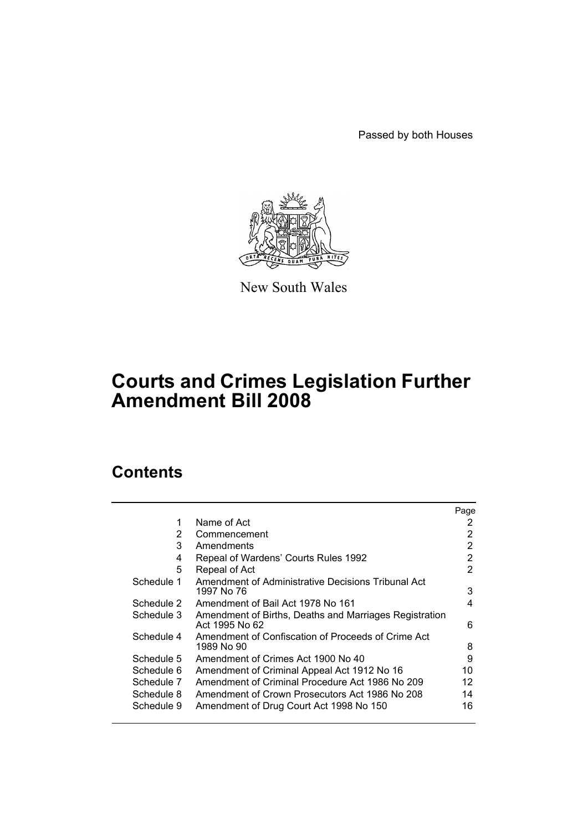Passed by both Houses



New South Wales

# **Courts and Crimes Legislation Further Amendment Bill 2008**

# **Contents**

|            |                                                                          | Page |
|------------|--------------------------------------------------------------------------|------|
| 1          | Name of Act                                                              | 2    |
| 2          | Commencement                                                             | 2    |
| 3          | Amendments                                                               | 2    |
| 4          | Repeal of Wardens' Courts Rules 1992                                     | 2    |
| 5          | Repeal of Act                                                            | 2    |
| Schedule 1 | Amendment of Administrative Decisions Tribunal Act                       |      |
|            | 1997 No 76                                                               | 3    |
| Schedule 2 | Amendment of Bail Act 1978 No 161                                        | 4    |
| Schedule 3 | Amendment of Births, Deaths and Marriages Registration<br>Act 1995 No 62 | 6    |
| Schedule 4 | Amendment of Confiscation of Proceeds of Crime Act<br>1989 No 90         | 8    |
| Schedule 5 | Amendment of Crimes Act 1900 No 40                                       | 9    |
| Schedule 6 | Amendment of Criminal Appeal Act 1912 No 16                              | 10   |
| Schedule 7 | Amendment of Criminal Procedure Act 1986 No 209                          | 12   |
| Schedule 8 | Amendment of Crown Prosecutors Act 1986 No 208                           | 14   |
| Schedule 9 | Amendment of Drug Court Act 1998 No 150                                  | 16   |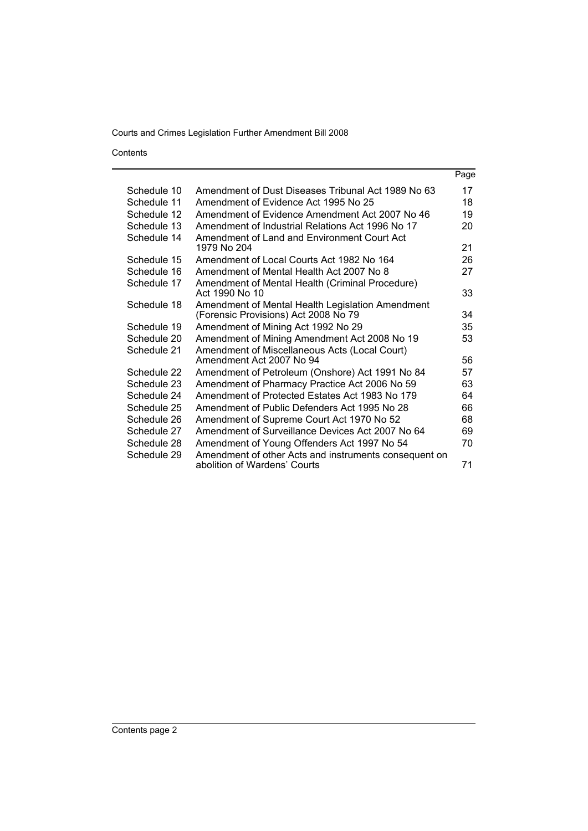Contents

|             |                                                                                          | Page |
|-------------|------------------------------------------------------------------------------------------|------|
| Schedule 10 | Amendment of Dust Diseases Tribunal Act 1989 No 63                                       | 17   |
| Schedule 11 | Amendment of Evidence Act 1995 No 25                                                     | 18   |
| Schedule 12 | Amendment of Evidence Amendment Act 2007 No 46                                           | 19   |
| Schedule 13 | Amendment of Industrial Relations Act 1996 No 17                                         | 20   |
| Schedule 14 | Amendment of Land and Environment Court Act<br>1979 No 204                               | 21   |
| Schedule 15 | Amendment of Local Courts Act 1982 No 164                                                | 26   |
| Schedule 16 | Amendment of Mental Health Act 2007 No 8                                                 | 27   |
| Schedule 17 | Amendment of Mental Health (Criminal Procedure)<br>Act 1990 No 10                        | 33   |
| Schedule 18 | Amendment of Mental Health Legislation Amendment<br>(Forensic Provisions) Act 2008 No 79 | 34   |
| Schedule 19 | Amendment of Mining Act 1992 No 29                                                       | 35   |
| Schedule 20 | Amendment of Mining Amendment Act 2008 No 19                                             | 53   |
| Schedule 21 | Amendment of Miscellaneous Acts (Local Court)<br>Amendment Act 2007 No 94                | 56   |
| Schedule 22 | Amendment of Petroleum (Onshore) Act 1991 No 84                                          | 57   |
| Schedule 23 | Amendment of Pharmacy Practice Act 2006 No 59                                            | 63   |
| Schedule 24 | Amendment of Protected Estates Act 1983 No 179                                           | 64   |
| Schedule 25 | Amendment of Public Defenders Act 1995 No 28                                             | 66   |
| Schedule 26 | Amendment of Supreme Court Act 1970 No 52                                                | 68   |
| Schedule 27 | Amendment of Surveillance Devices Act 2007 No 64                                         | 69   |
| Schedule 28 | Amendment of Young Offenders Act 1997 No 54                                              | 70   |
| Schedule 29 | Amendment of other Acts and instruments consequent on<br>abolition of Wardens' Courts    | 71   |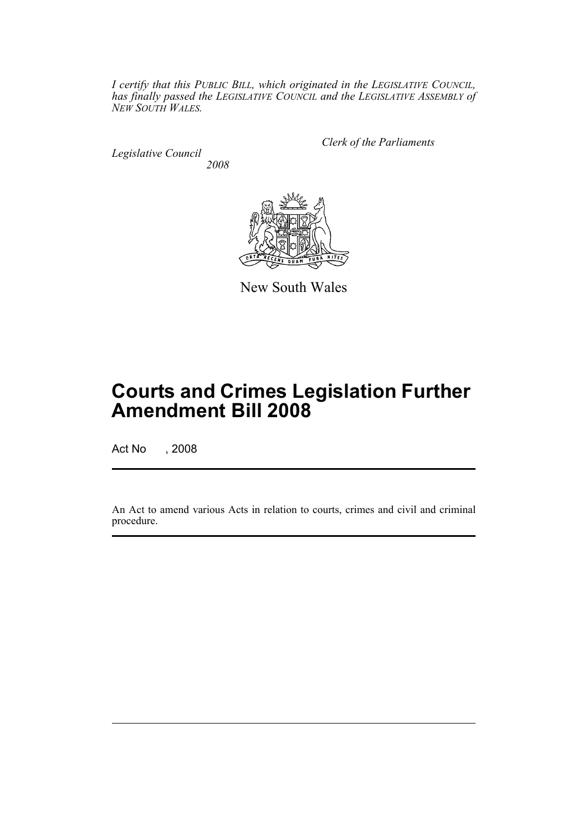*I certify that this PUBLIC BILL, which originated in the LEGISLATIVE COUNCIL, has finally passed the LEGISLATIVE COUNCIL and the LEGISLATIVE ASSEMBLY of NEW SOUTH WALES.*

*Legislative Council 2008* *Clerk of the Parliaments*



New South Wales

# **Courts and Crimes Legislation Further Amendment Bill 2008**

Act No , 2008

An Act to amend various Acts in relation to courts, crimes and civil and criminal procedure.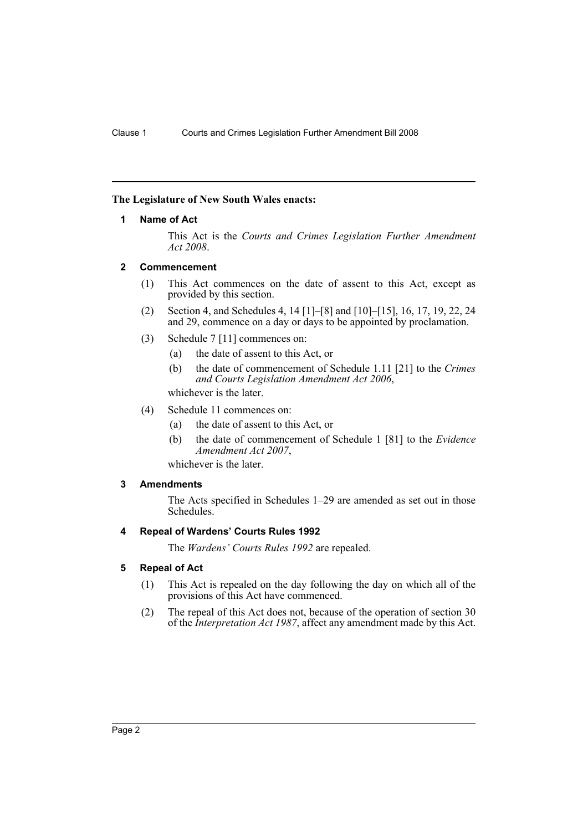### <span id="page-3-0"></span>**The Legislature of New South Wales enacts:**

### **1 Name of Act**

This Act is the *Courts and Crimes Legislation Further Amendment Act 2008*.

### <span id="page-3-1"></span>**2 Commencement**

- (1) This Act commences on the date of assent to this Act, except as provided by this section.
- (2) Section 4, and Schedules 4, 14 [1]–[8] and [10]–[15], 16, 17, 19, 22, 24 and 29, commence on a day or days to be appointed by proclamation.
- (3) Schedule 7 [11] commences on:
	- (a) the date of assent to this Act, or
	- (b) the date of commencement of Schedule 1.11 [21] to the *Crimes and Courts Legislation Amendment Act 2006*,

whichever is the later.

- (4) Schedule 11 commences on:
	- (a) the date of assent to this Act, or
	- (b) the date of commencement of Schedule 1 [81] to the *Evidence Amendment Act 2007*,

whichever is the later.

### <span id="page-3-2"></span>**3 Amendments**

The Acts specified in Schedules 1–29 are amended as set out in those Schedules.

### <span id="page-3-3"></span>**4 Repeal of Wardens' Courts Rules 1992**

The *Wardens' Courts Rules 1992* are repealed.

### <span id="page-3-4"></span>**5 Repeal of Act**

- (1) This Act is repealed on the day following the day on which all of the provisions of this Act have commenced.
- (2) The repeal of this Act does not, because of the operation of section 30 of the *Interpretation Act 1987*, affect any amendment made by this Act.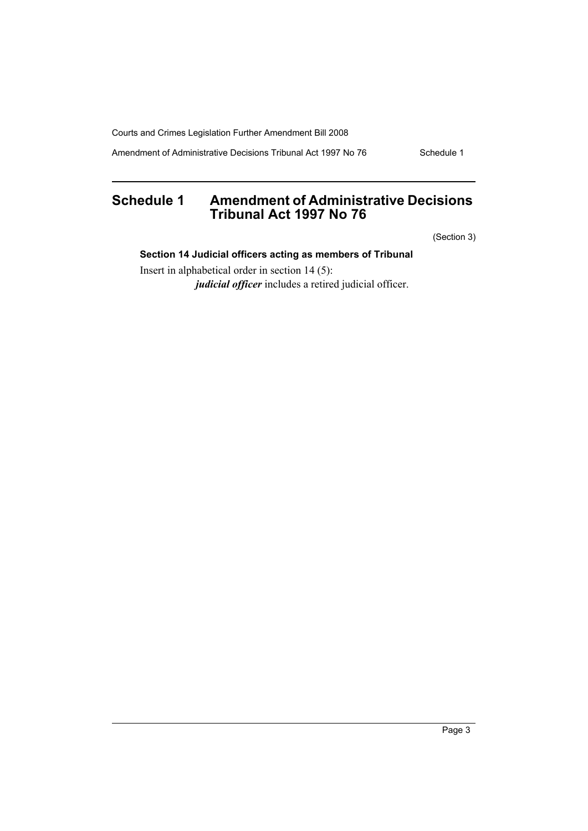Amendment of Administrative Decisions Tribunal Act 1997 No 76 Schedule 1

# <span id="page-4-0"></span>**Schedule 1 Amendment of Administrative Decisions Tribunal Act 1997 No 76**

(Section 3)

# **Section 14 Judicial officers acting as members of Tribunal**

Insert in alphabetical order in section 14 (5): *judicial officer* includes a retired judicial officer.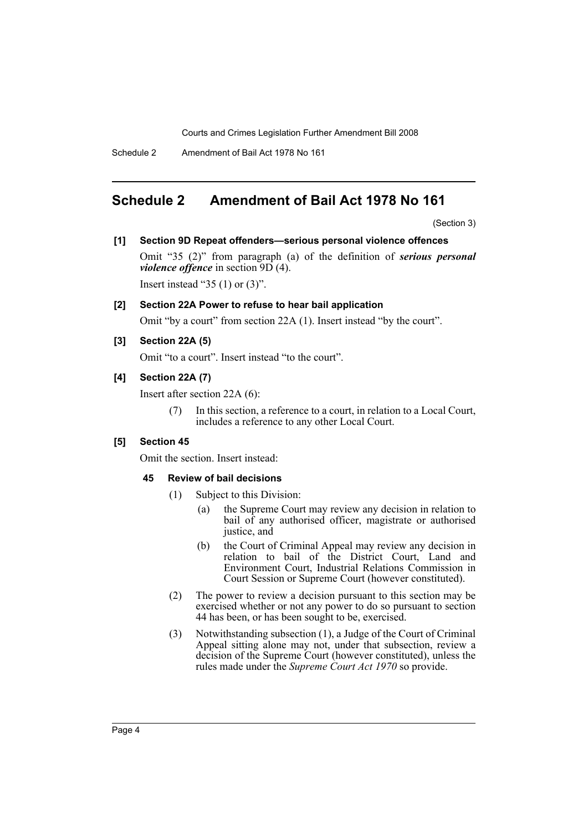Schedule 2 Amendment of Bail Act 1978 No 161

# <span id="page-5-0"></span>**Schedule 2 Amendment of Bail Act 1978 No 161**

(Section 3)

### **[1] Section 9D Repeat offenders—serious personal violence offences**

Omit "35 (2)" from paragraph (a) of the definition of *serious personal violence offence* in section 9D (4). Insert instead "35  $(1)$  or  $(3)$ ".

#### **[2] Section 22A Power to refuse to hear bail application**

Omit "by a court" from section 22A (1). Insert instead "by the court".

### **[3] Section 22A (5)**

Omit "to a court". Insert instead "to the court".

### **[4] Section 22A (7)**

Insert after section 22A (6):

(7) In this section, a reference to a court, in relation to a Local Court, includes a reference to any other Local Court.

### **[5] Section 45**

Omit the section. Insert instead:

#### **45 Review of bail decisions**

- (1) Subject to this Division:
	- (a) the Supreme Court may review any decision in relation to bail of any authorised officer, magistrate or authorised justice, and
	- (b) the Court of Criminal Appeal may review any decision in relation to bail of the District Court, Land and Environment Court, Industrial Relations Commission in Court Session or Supreme Court (however constituted).
- (2) The power to review a decision pursuant to this section may be exercised whether or not any power to do so pursuant to section 44 has been, or has been sought to be, exercised.
- (3) Notwithstanding subsection (1), a Judge of the Court of Criminal Appeal sitting alone may not, under that subsection, review a decision of the Supreme Court (however constituted), unless the rules made under the *Supreme Court Act 1970* so provide.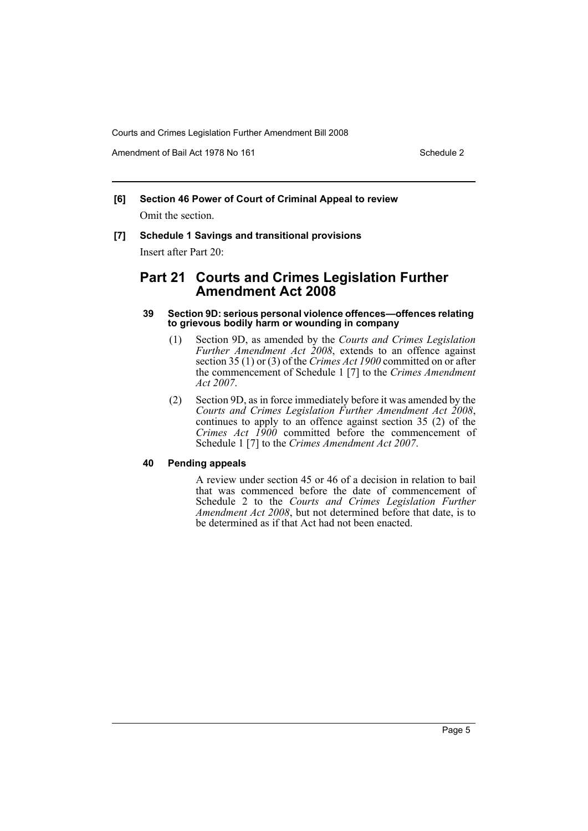Amendment of Bail Act 1978 No 161 Schedule 2

# **[6] Section 46 Power of Court of Criminal Appeal to review**

Omit the section.

# **[7] Schedule 1 Savings and transitional provisions**

Insert after Part 20:

# **Part 21 Courts and Crimes Legislation Further Amendment Act 2008**

### **39 Section 9D: serious personal violence offences—offences relating to grievous bodily harm or wounding in company**

- (1) Section 9D, as amended by the *Courts and Crimes Legislation Further Amendment Act 2008*, extends to an offence against section 35 (1) or (3) of the *Crimes Act 1900* committed on or after the commencement of Schedule 1 [7] to the *Crimes Amendment Act 2007*.
- (2) Section 9D, as in force immediately before it was amended by the *Courts and Crimes Legislation Further Amendment Act 2008*, continues to apply to an offence against section 35 (2) of the *Crimes Act 1900* committed before the commencement of Schedule 1 [7] to the *Crimes Amendment Act 2007*.

### **40 Pending appeals**

A review under section 45 or 46 of a decision in relation to bail that was commenced before the date of commencement of Schedule 2 to the *Courts and Crimes Legislation Further Amendment Act 2008*, but not determined before that date, is to be determined as if that Act had not been enacted.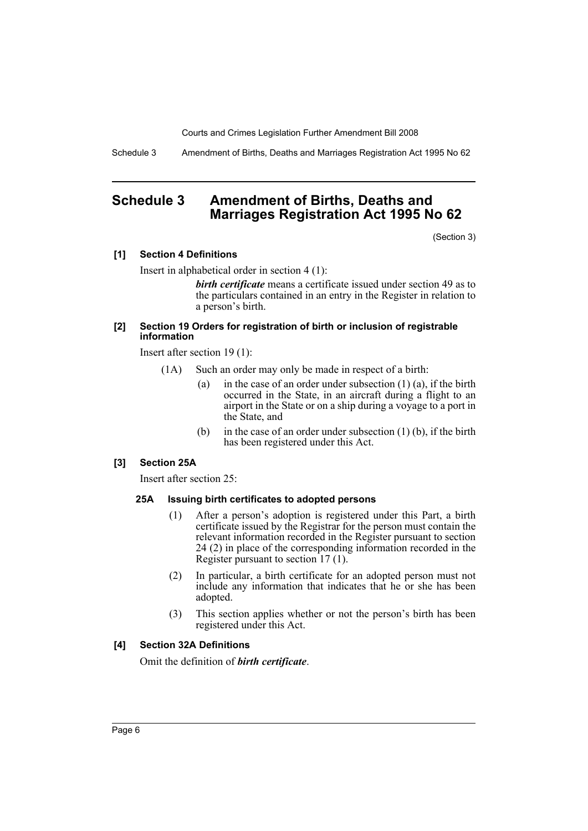Schedule 3 Amendment of Births, Deaths and Marriages Registration Act 1995 No 62

# <span id="page-7-0"></span>**Schedule 3 Amendment of Births, Deaths and Marriages Registration Act 1995 No 62**

(Section 3)

### **[1] Section 4 Definitions**

Insert in alphabetical order in section 4 (1):

*birth certificate* means a certificate issued under section 49 as to the particulars contained in an entry in the Register in relation to a person's birth.

### **[2] Section 19 Orders for registration of birth or inclusion of registrable information**

Insert after section 19 (1):

- (1A) Such an order may only be made in respect of a birth:
	- (a) in the case of an order under subsection  $(1)$  (a), if the birth occurred in the State, in an aircraft during a flight to an airport in the State or on a ship during a voyage to a port in the State, and
	- (b) in the case of an order under subsection (1) (b), if the birth has been registered under this Act.

### **[3] Section 25A**

Insert after section 25:

### **25A Issuing birth certificates to adopted persons**

- (1) After a person's adoption is registered under this Part, a birth certificate issued by the Registrar for the person must contain the relevant information recorded in the Register pursuant to section 24 (2) in place of the corresponding information recorded in the Register pursuant to section 17 (1).
- (2) In particular, a birth certificate for an adopted person must not include any information that indicates that he or she has been adopted.
- (3) This section applies whether or not the person's birth has been registered under this Act.

### **[4] Section 32A Definitions**

Omit the definition of *birth certificate*.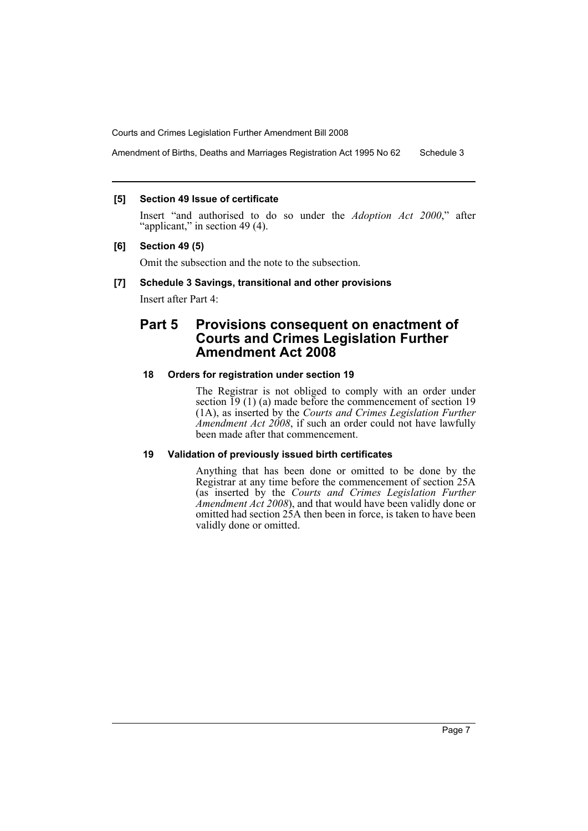Amendment of Births, Deaths and Marriages Registration Act 1995 No 62 Schedule 3

### **[5] Section 49 Issue of certificate**

Insert "and authorised to do so under the *Adoption Act 2000*," after "applicant," in section 49 (4).

### **[6] Section 49 (5)**

Omit the subsection and the note to the subsection.

### **[7] Schedule 3 Savings, transitional and other provisions**

Insert after Part 4:

# **Part 5 Provisions consequent on enactment of Courts and Crimes Legislation Further Amendment Act 2008**

## **18 Orders for registration under section 19**

The Registrar is not obliged to comply with an order under section  $\overline{19}$  (1) (a) made before the commencement of section 19 (1A), as inserted by the *Courts and Crimes Legislation Further Amendment Act 2008*, if such an order could not have lawfully been made after that commencement.

### **19 Validation of previously issued birth certificates**

Anything that has been done or omitted to be done by the Registrar at any time before the commencement of section 25A (as inserted by the *Courts and Crimes Legislation Further Amendment Act 2008*), and that would have been validly done or omitted had section 25A then been in force, is taken to have been validly done or omitted.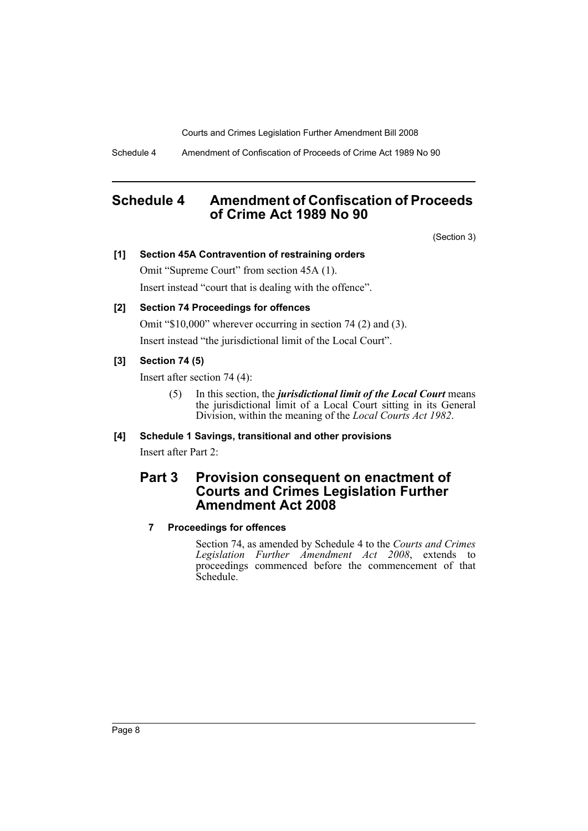Schedule 4 Amendment of Confiscation of Proceeds of Crime Act 1989 No 90

# <span id="page-9-0"></span>**Schedule 4 Amendment of Confiscation of Proceeds of Crime Act 1989 No 90**

(Section 3)

### **[1] Section 45A Contravention of restraining orders**

Omit "Supreme Court" from section 45A (1). Insert instead "court that is dealing with the offence".

# **[2] Section 74 Proceedings for offences**

Omit "\$10,000" wherever occurring in section 74 (2) and (3). Insert instead "the jurisdictional limit of the Local Court".

# **[3] Section 74 (5)**

Insert after section 74 (4):

(5) In this section, the *jurisdictional limit of the Local Court* means the jurisdictional limit of a Local Court sitting in its General Division, within the meaning of the *Local Courts Act 1982*.

# **[4] Schedule 1 Savings, transitional and other provisions**

Insert after Part 2:

# **Part 3 Provision consequent on enactment of Courts and Crimes Legislation Further Amendment Act 2008**

## **7 Proceedings for offences**

Section 74, as amended by Schedule 4 to the *Courts and Crimes Legislation Further Amendment Act 2008*, extends to proceedings commenced before the commencement of that Schedule.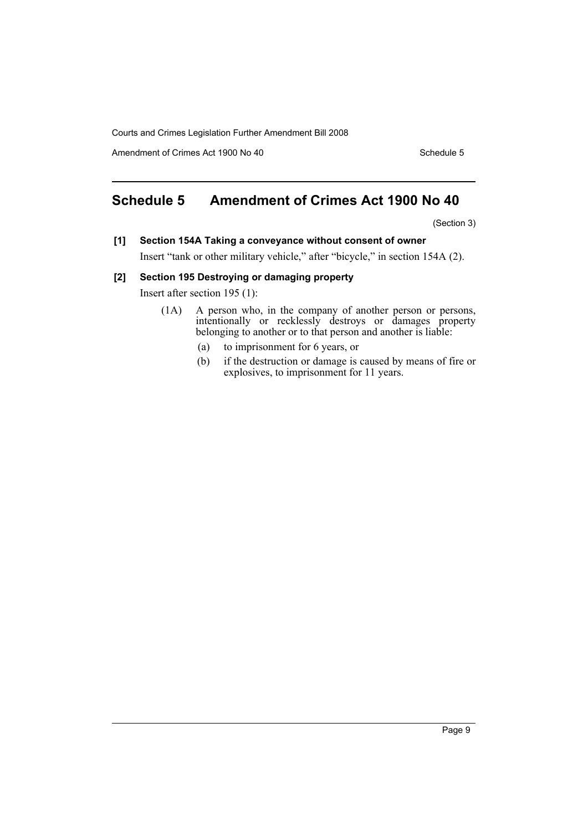Amendment of Crimes Act 1900 No 40 Schedule 5

# <span id="page-10-0"></span>**Schedule 5 Amendment of Crimes Act 1900 No 40**

(Section 3)

**[1] Section 154A Taking a conveyance without consent of owner** Insert "tank or other military vehicle," after "bicycle," in section 154A (2).

**[2] Section 195 Destroying or damaging property**

Insert after section 195 (1):

- (1A) A person who, in the company of another person or persons, intentionally or recklessly destroys or damages property belonging to another or to that person and another is liable:
	- (a) to imprisonment for 6 years, or
	- (b) if the destruction or damage is caused by means of fire or explosives, to imprisonment for 11 years.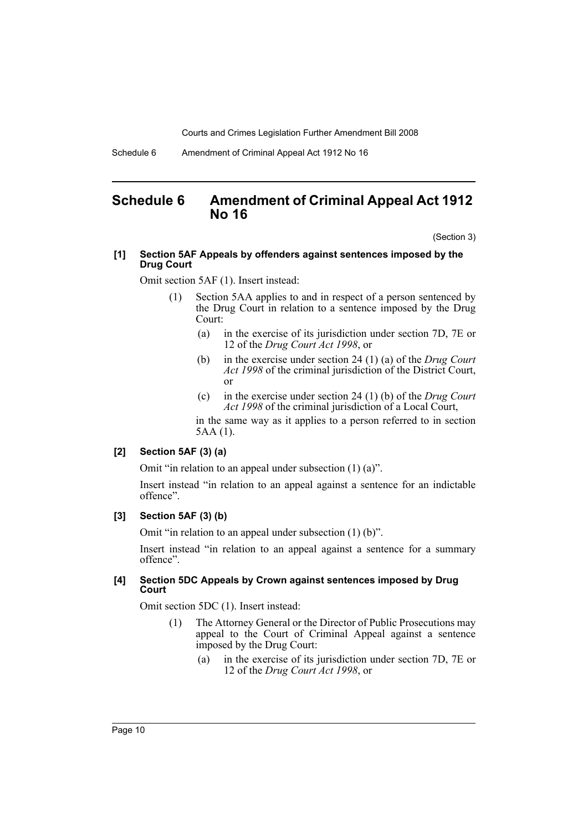Schedule 6 Amendment of Criminal Appeal Act 1912 No 16

# <span id="page-11-0"></span>**Schedule 6 Amendment of Criminal Appeal Act 1912 No 16**

(Section 3)

### **[1] Section 5AF Appeals by offenders against sentences imposed by the Drug Court**

Omit section 5AF (1). Insert instead:

- (1) Section 5AA applies to and in respect of a person sentenced by the Drug Court in relation to a sentence imposed by the Drug Court:
	- (a) in the exercise of its jurisdiction under section 7D, 7E or 12 of the *Drug Court Act 1998*, or
	- (b) in the exercise under section 24 (1) (a) of the *Drug Court Act 1998* of the criminal jurisdiction of the District Court, or
	- (c) in the exercise under section 24 (1) (b) of the *Drug Court Act 1998* of the criminal jurisdiction of a Local Court,

in the same way as it applies to a person referred to in section 5AA (1).

### **[2] Section 5AF (3) (a)**

Omit "in relation to an appeal under subsection (1) (a)".

Insert instead "in relation to an appeal against a sentence for an indictable offence".

#### **[3] Section 5AF (3) (b)**

Omit "in relation to an appeal under subsection (1) (b)".

Insert instead "in relation to an appeal against a sentence for a summary offence".

### **[4] Section 5DC Appeals by Crown against sentences imposed by Drug Court**

Omit section 5DC (1). Insert instead:

- (1) The Attorney General or the Director of Public Prosecutions may appeal to the Court of Criminal Appeal against a sentence imposed by the Drug Court:
	- (a) in the exercise of its jurisdiction under section 7D, 7E or 12 of the *Drug Court Act 1998*, or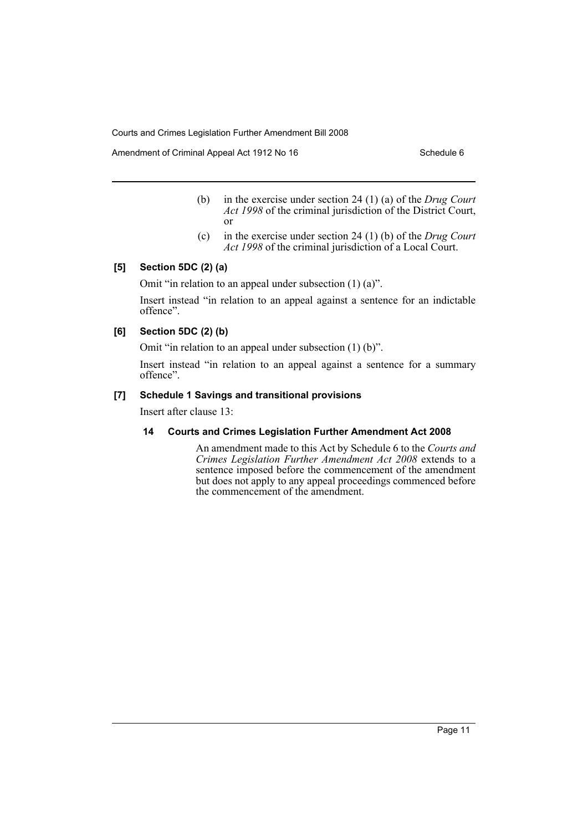Amendment of Criminal Appeal Act 1912 No 16 Schedule 6

- (b) in the exercise under section 24 (1) (a) of the *Drug Court Act 1998* of the criminal jurisdiction of the District Court, or
- (c) in the exercise under section 24 (1) (b) of the *Drug Court Act 1998* of the criminal jurisdiction of a Local Court.

## **[5] Section 5DC (2) (a)**

Omit "in relation to an appeal under subsection (1) (a)".

Insert instead "in relation to an appeal against a sentence for an indictable offence".

## **[6] Section 5DC (2) (b)**

Omit "in relation to an appeal under subsection (1) (b)".

Insert instead "in relation to an appeal against a sentence for a summary offence".

# **[7] Schedule 1 Savings and transitional provisions**

Insert after clause 13:

### **14 Courts and Crimes Legislation Further Amendment Act 2008**

An amendment made to this Act by Schedule 6 to the *Courts and Crimes Legislation Further Amendment Act 2008* extends to a sentence imposed before the commencement of the amendment but does not apply to any appeal proceedings commenced before the commencement of the amendment.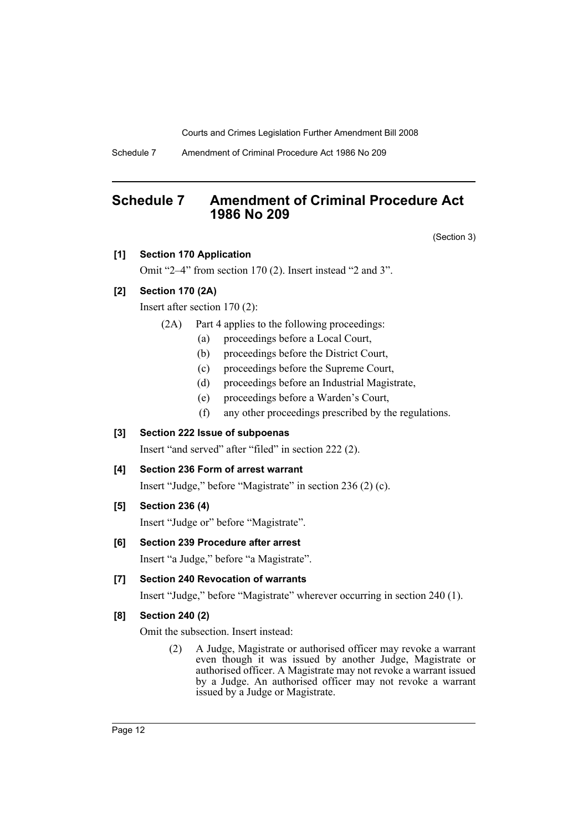Schedule 7 Amendment of Criminal Procedure Act 1986 No 209

# <span id="page-13-0"></span>**Schedule 7 Amendment of Criminal Procedure Act 1986 No 209**

(Section 3)

### **[1] Section 170 Application**

Omit "2–4" from section 170 (2). Insert instead "2 and 3".

# **[2] Section 170 (2A)**

Insert after section 170 (2):

- (2A) Part 4 applies to the following proceedings:
	- (a) proceedings before a Local Court,
	- (b) proceedings before the District Court,
	- (c) proceedings before the Supreme Court,
	- (d) proceedings before an Industrial Magistrate,
	- (e) proceedings before a Warden's Court,
	- (f) any other proceedings prescribed by the regulations.

### **[3] Section 222 Issue of subpoenas**

Insert "and served" after "filed" in section 222 (2).

# **[4] Section 236 Form of arrest warrant**

Insert "Judge," before "Magistrate" in section 236 (2) (c).

### **[5] Section 236 (4)**

Insert "Judge or" before "Magistrate".

### **[6] Section 239 Procedure after arrest**

Insert "a Judge," before "a Magistrate".

### **[7] Section 240 Revocation of warrants**

Insert "Judge," before "Magistrate" wherever occurring in section 240 (1).

# **[8] Section 240 (2)**

Omit the subsection. Insert instead:

(2) A Judge, Magistrate or authorised officer may revoke a warrant even though it was issued by another Judge, Magistrate or authorised officer. A Magistrate may not revoke a warrant issued by a Judge. An authorised officer may not revoke a warrant issued by a Judge or Magistrate.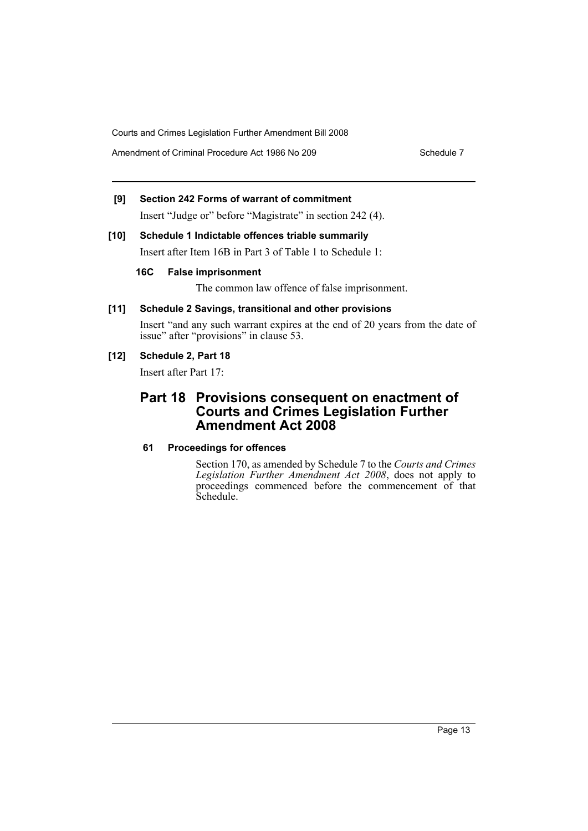Amendment of Criminal Procedure Act 1986 No 209 Schedule 7

# **[9] Section 242 Forms of warrant of commitment**

Insert "Judge or" before "Magistrate" in section 242 (4).

# **[10] Schedule 1 Indictable offences triable summarily**

Insert after Item 16B in Part 3 of Table 1 to Schedule 1:

# **16C False imprisonment**

The common law offence of false imprisonment.

# **[11] Schedule 2 Savings, transitional and other provisions**

Insert "and any such warrant expires at the end of 20 years from the date of issue" after "provisions" in clause 53.

# **[12] Schedule 2, Part 18**

Insert after Part 17:

# **Part 18 Provisions consequent on enactment of Courts and Crimes Legislation Further Amendment Act 2008**

# **61 Proceedings for offences**

Section 170, as amended by Schedule 7 to the *Courts and Crimes Legislation Further Amendment Act 2008*, does not apply to proceedings commenced before the commencement of that Schedule.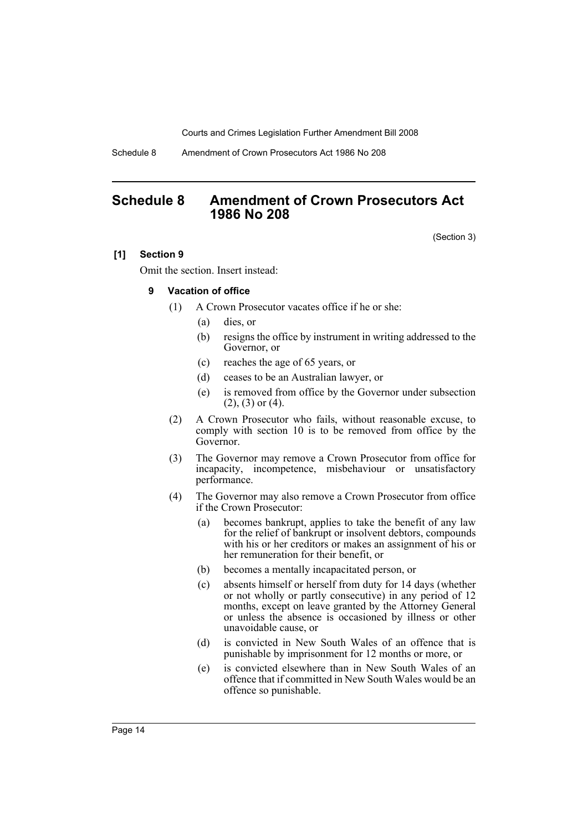Schedule 8 Amendment of Crown Prosecutors Act 1986 No 208

# <span id="page-15-0"></span>**Schedule 8 Amendment of Crown Prosecutors Act 1986 No 208**

(Section 3)

### **[1] Section 9**

Omit the section. Insert instead:

### **9 Vacation of office**

- (1) A Crown Prosecutor vacates office if he or she:
	- (a) dies, or
	- (b) resigns the office by instrument in writing addressed to the Governor, or
	- (c) reaches the age of 65 years, or
	- (d) ceases to be an Australian lawyer, or
	- (e) is removed from office by the Governor under subsection  $(2)$ ,  $(3)$  or  $(4)$ .
- (2) A Crown Prosecutor who fails, without reasonable excuse, to comply with section 10 is to be removed from office by the Governor.
- (3) The Governor may remove a Crown Prosecutor from office for incapacity, incompetence, misbehaviour or unsatisfactory performance.
- (4) The Governor may also remove a Crown Prosecutor from office if the Crown Prosecutor:
	- (a) becomes bankrupt, applies to take the benefit of any law for the relief of bankrupt or insolvent debtors, compounds with his or her creditors or makes an assignment of his or her remuneration for their benefit, or
	- (b) becomes a mentally incapacitated person, or
	- (c) absents himself or herself from duty for 14 days (whether or not wholly or partly consecutive) in any period of 12 months, except on leave granted by the Attorney General or unless the absence is occasioned by illness or other unavoidable cause, or
	- (d) is convicted in New South Wales of an offence that is punishable by imprisonment for 12 months or more, or
	- (e) is convicted elsewhere than in New South Wales of an offence that if committed in New South Wales would be an offence so punishable.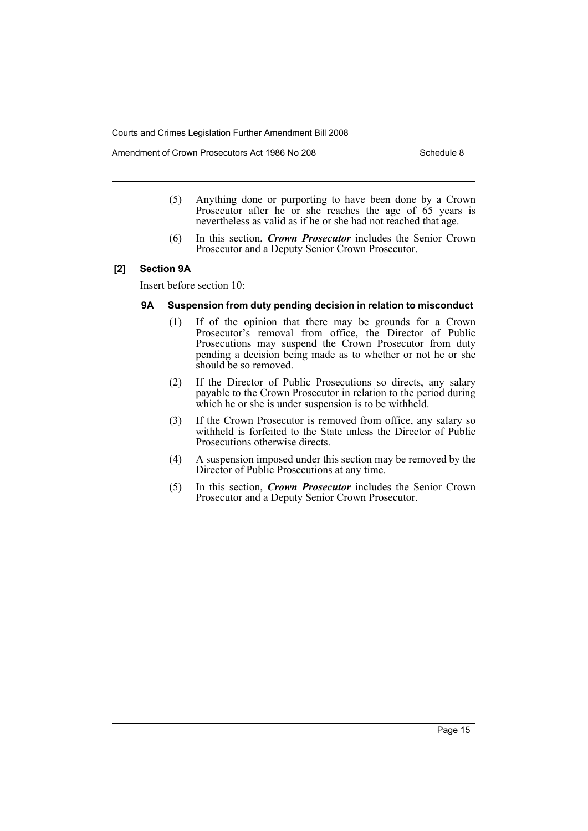Amendment of Crown Prosecutors Act 1986 No 208 Schedule 8

- (5) Anything done or purporting to have been done by a Crown Prosecutor after he or she reaches the age of 65 years is nevertheless as valid as if he or she had not reached that age.
- (6) In this section, *Crown Prosecutor* includes the Senior Crown Prosecutor and a Deputy Senior Crown Prosecutor.

### **[2] Section 9A**

Insert before section 10:

#### **9A Suspension from duty pending decision in relation to misconduct**

- (1) If of the opinion that there may be grounds for a Crown Prosecutor's removal from office, the Director of Public Prosecutions may suspend the Crown Prosecutor from duty pending a decision being made as to whether or not he or she should be so removed.
- (2) If the Director of Public Prosecutions so directs, any salary payable to the Crown Prosecutor in relation to the period during which he or she is under suspension is to be withheld.
- (3) If the Crown Prosecutor is removed from office, any salary so withheld is forfeited to the State unless the Director of Public Prosecutions otherwise directs.
- (4) A suspension imposed under this section may be removed by the Director of Public Prosecutions at any time.
- (5) In this section, *Crown Prosecutor* includes the Senior Crown Prosecutor and a Deputy Senior Crown Prosecutor.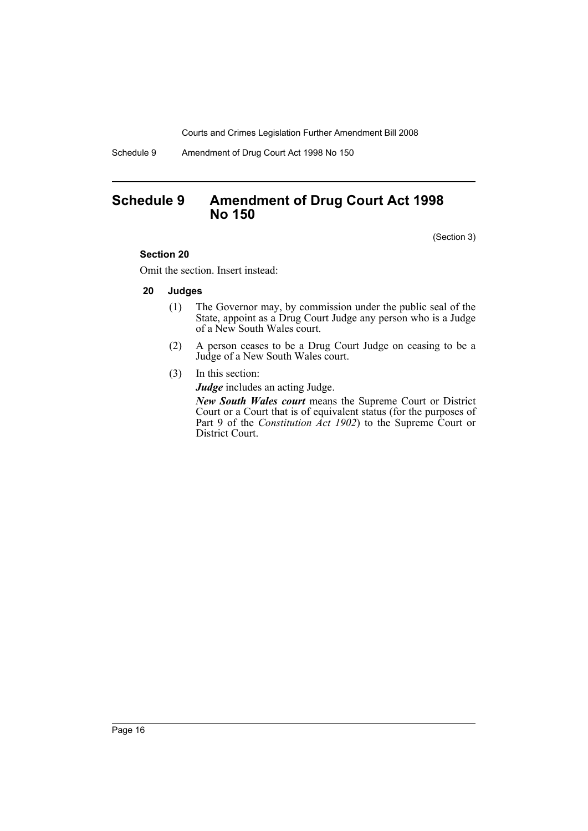Schedule 9 Amendment of Drug Court Act 1998 No 150

# <span id="page-17-0"></span>**Schedule 9 Amendment of Drug Court Act 1998 No 150**

(Section 3)

### **Section 20**

Omit the section. Insert instead:

### **20 Judges**

- (1) The Governor may, by commission under the public seal of the State, appoint as a Drug Court Judge any person who is a Judge of a New South Wales court.
- (2) A person ceases to be a Drug Court Judge on ceasing to be a Judge of a New South Wales court.
- (3) In this section:

*Judge* includes an acting Judge.

*New South Wales court* means the Supreme Court or District Court or a Court that is of equivalent status (for the purposes of Part 9 of the *Constitution Act 1902*) to the Supreme Court or District Court.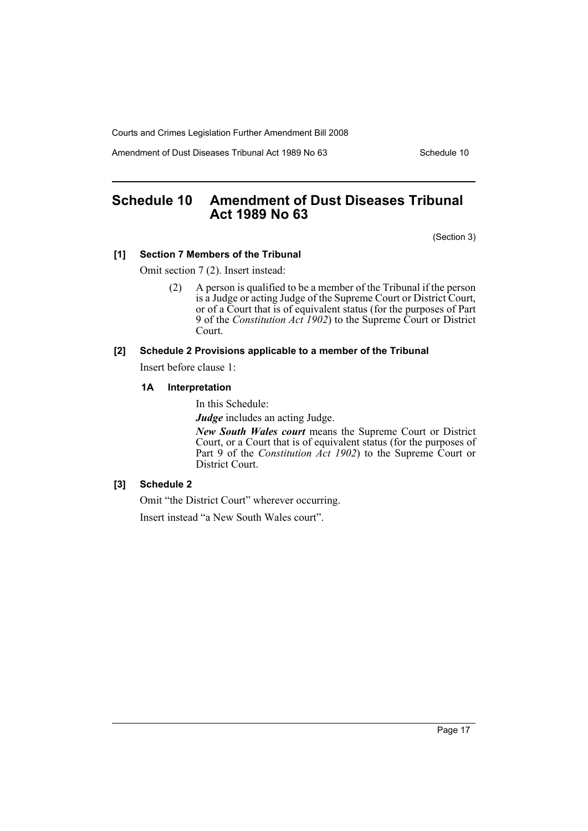Amendment of Dust Diseases Tribunal Act 1989 No 63 Schedule 10

# <span id="page-18-0"></span>**Schedule 10 Amendment of Dust Diseases Tribunal Act 1989 No 63**

(Section 3)

### **[1] Section 7 Members of the Tribunal**

Omit section 7 (2). Insert instead:

(2) A person is qualified to be a member of the Tribunal if the person is a Judge or acting Judge of the Supreme Court or District Court, or of a Court that is of equivalent status (for the purposes of Part 9 of the *Constitution Act 1902*) to the Supreme Court or District Court.

## **[2] Schedule 2 Provisions applicable to a member of the Tribunal**

Insert before clause 1:

#### **1A Interpretation**

In this Schedule:

*Judge* includes an acting Judge.

*New South Wales court* means the Supreme Court or District Court, or a Court that is of equivalent status (for the purposes of Part 9 of the *Constitution Act 1902*) to the Supreme Court or District Court.

# **[3] Schedule 2**

Omit "the District Court" wherever occurring.

Insert instead "a New South Wales court".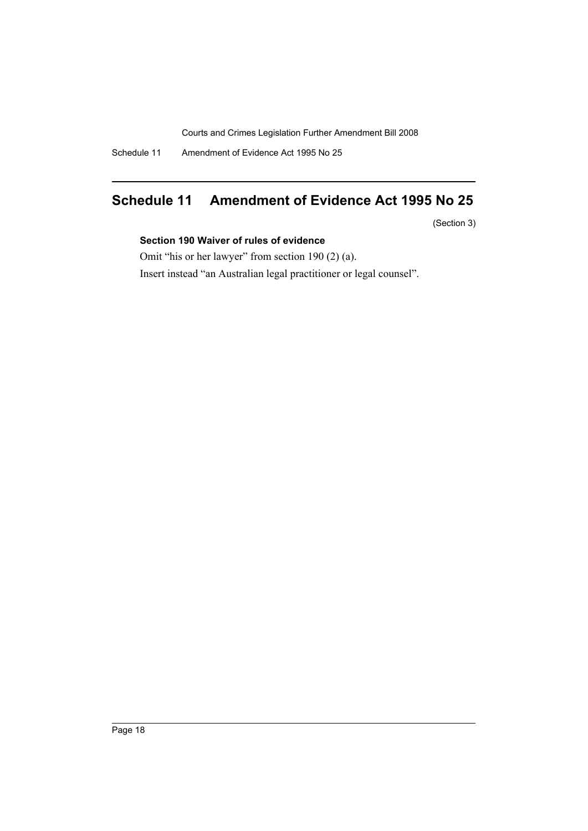Schedule 11 Amendment of Evidence Act 1995 No 25

# <span id="page-19-0"></span>**Schedule 11 Amendment of Evidence Act 1995 No 25**

(Section 3)

# **Section 190 Waiver of rules of evidence**

Omit "his or her lawyer" from section 190 (2) (a).

Insert instead "an Australian legal practitioner or legal counsel".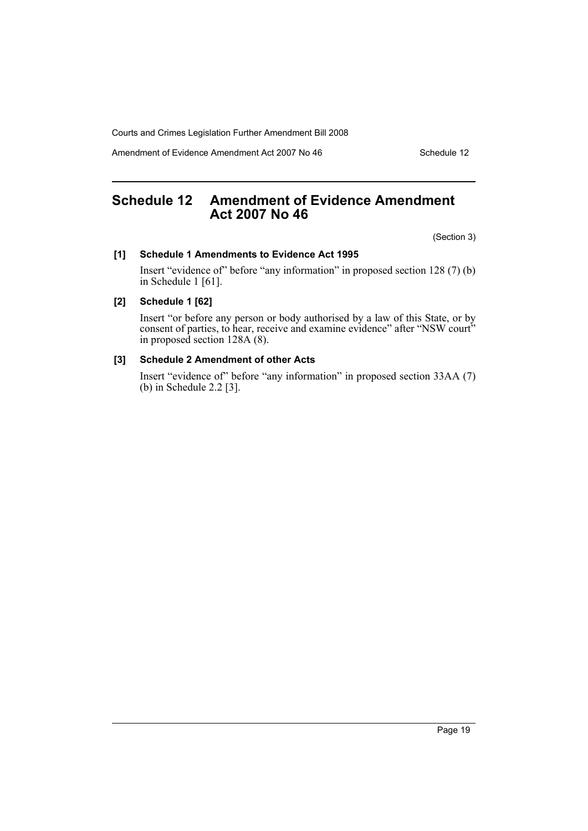Amendment of Evidence Amendment Act 2007 No 46 Schedule 12

# <span id="page-20-0"></span>**Schedule 12 Amendment of Evidence Amendment Act 2007 No 46**

(Section 3)

### **[1] Schedule 1 Amendments to Evidence Act 1995**

Insert "evidence of" before "any information" in proposed section 128 (7) (b) in Schedule 1 [61].

### **[2] Schedule 1 [62]**

Insert "or before any person or body authorised by a law of this State, or by consent of parties, to hear, receive and examine evidence" after "NSW court" in proposed section 128A (8).

### **[3] Schedule 2 Amendment of other Acts**

Insert "evidence of" before "any information" in proposed section 33AA (7) (b) in Schedule 2.2 [3].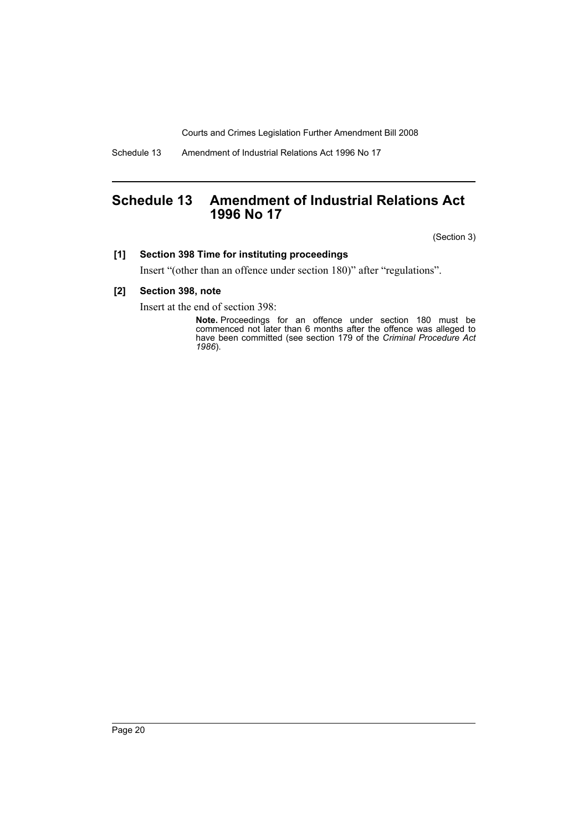Schedule 13 Amendment of Industrial Relations Act 1996 No 17

# <span id="page-21-0"></span>**Schedule 13 Amendment of Industrial Relations Act 1996 No 17**

(Section 3)

# **[1] Section 398 Time for instituting proceedings**

Insert "(other than an offence under section 180)" after "regulations".

### **[2] Section 398, note**

Insert at the end of section 398:

**Note.** Proceedings for an offence under section 180 must be commenced not later than 6 months after the offence was alleged to have been committed (see section 179 of the *Criminal Procedure Act 1986*).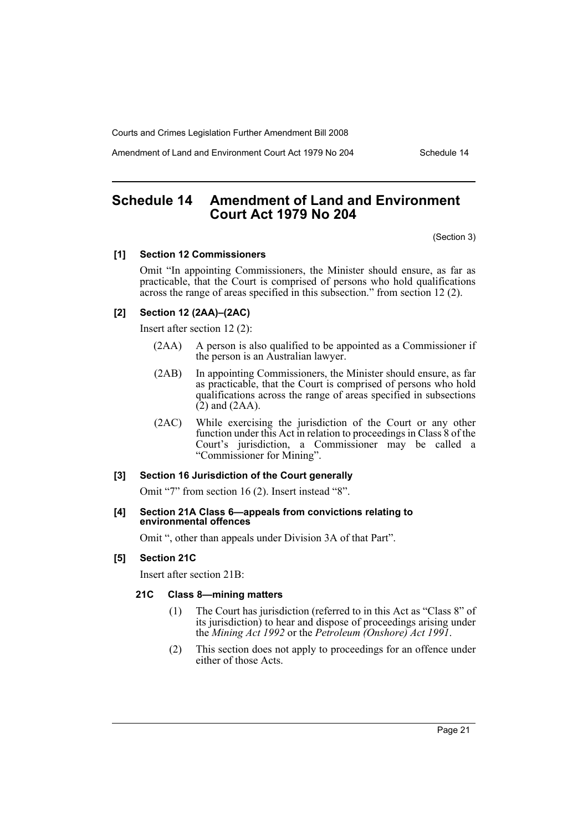Amendment of Land and Environment Court Act 1979 No 204 Schedule 14

# <span id="page-22-0"></span>**Schedule 14 Amendment of Land and Environment Court Act 1979 No 204**

(Section 3)

### **[1] Section 12 Commissioners**

Omit "In appointing Commissioners, the Minister should ensure, as far as practicable, that the Court is comprised of persons who hold qualifications across the range of areas specified in this subsection." from section 12 (2).

### **[2] Section 12 (2AA)–(2AC)**

Insert after section 12 (2):

- (2AA) A person is also qualified to be appointed as a Commissioner if the person is an Australian lawyer.
- (2AB) In appointing Commissioners, the Minister should ensure, as far as practicable, that the Court is comprised of persons who hold qualifications across the range of areas specified in subsections  $(2)$  and  $(2AA)$ .
- (2AC) While exercising the jurisdiction of the Court or any other function under this Act in relation to proceedings in Class 8 of the Court's jurisdiction, a Commissioner may be called a "Commissioner for Mining".

### **[3] Section 16 Jurisdiction of the Court generally**

Omit "7" from section 16 (2). Insert instead "8".

### **[4] Section 21A Class 6—appeals from convictions relating to environmental offences**

Omit ", other than appeals under Division 3A of that Part".

### **[5] Section 21C**

Insert after section 21B:

### **21C Class 8—mining matters**

- (1) The Court has jurisdiction (referred to in this Act as "Class 8" of its jurisdiction) to hear and dispose of proceedings arising under the *Mining Act 1992* or the *Petroleum (Onshore) Act 1991*.
- (2) This section does not apply to proceedings for an offence under either of those Acts.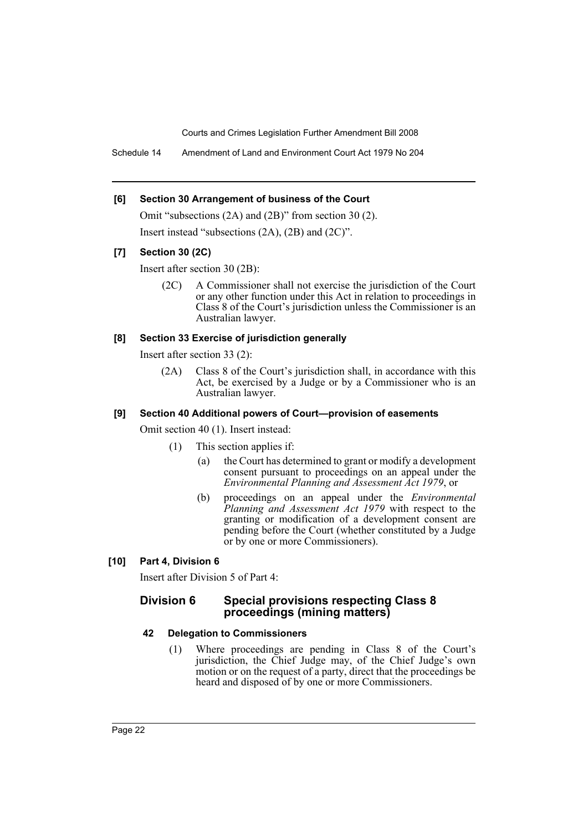Schedule 14 Amendment of Land and Environment Court Act 1979 No 204

### **[6] Section 30 Arrangement of business of the Court**

Omit "subsections (2A) and (2B)" from section 30 (2). Insert instead "subsections (2A), (2B) and (2C)".

### **[7] Section 30 (2C)**

Insert after section 30 (2B):

(2C) A Commissioner shall not exercise the jurisdiction of the Court or any other function under this Act in relation to proceedings in Class 8 of the Court's jurisdiction unless the Commissioner is an Australian lawyer.

### **[8] Section 33 Exercise of jurisdiction generally**

Insert after section 33 (2):

(2A) Class 8 of the Court's jurisdiction shall, in accordance with this Act, be exercised by a Judge or by a Commissioner who is an Australian lawyer.

### **[9] Section 40 Additional powers of Court—provision of easements**

Omit section 40 (1). Insert instead:

- (1) This section applies if:
	- (a) the Court has determined to grant or modify a development consent pursuant to proceedings on an appeal under the *Environmental Planning and Assessment Act 1979*, or
	- (b) proceedings on an appeal under the *Environmental Planning and Assessment Act 1979* with respect to the granting or modification of a development consent are pending before the Court (whether constituted by a Judge or by one or more Commissioners).

### **[10] Part 4, Division 6**

Insert after Division 5 of Part 4:

# **Division 6 Special provisions respecting Class 8 proceedings (mining matters)**

### **42 Delegation to Commissioners**

(1) Where proceedings are pending in Class 8 of the Court's jurisdiction, the Chief Judge may, of the Chief Judge's own motion or on the request of a party, direct that the proceedings be heard and disposed of by one or more Commissioners.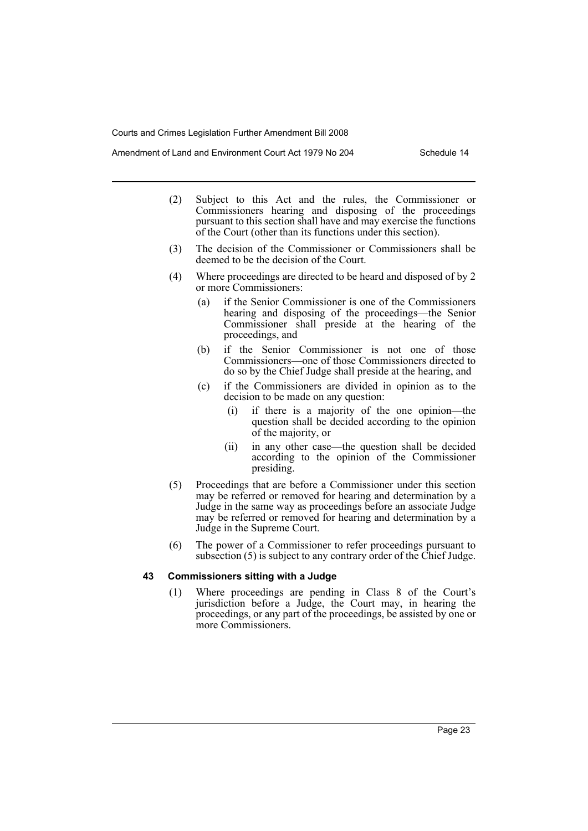- (2) Subject to this Act and the rules, the Commissioner or Commissioners hearing and disposing of the proceedings pursuant to this section shall have and may exercise the functions of the Court (other than its functions under this section).
- (3) The decision of the Commissioner or Commissioners shall be deemed to be the decision of the Court.
- (4) Where proceedings are directed to be heard and disposed of by 2 or more Commissioners:
	- (a) if the Senior Commissioner is one of the Commissioners hearing and disposing of the proceedings—the Senior Commissioner shall preside at the hearing of the proceedings, and
	- (b) if the Senior Commissioner is not one of those Commissioners—one of those Commissioners directed to do so by the Chief Judge shall preside at the hearing, and
	- (c) if the Commissioners are divided in opinion as to the decision to be made on any question:
		- (i) if there is a majority of the one opinion—the question shall be decided according to the opinion of the majority, or
		- (ii) in any other case—the question shall be decided according to the opinion of the Commissioner presiding.
- (5) Proceedings that are before a Commissioner under this section may be referred or removed for hearing and determination by a Judge in the same way as proceedings before an associate Judge may be referred or removed for hearing and determination by a Judge in the Supreme Court.
- (6) The power of a Commissioner to refer proceedings pursuant to subsection (5) is subject to any contrary order of the Chief Judge.

### **43 Commissioners sitting with a Judge**

(1) Where proceedings are pending in Class 8 of the Court's jurisdiction before a Judge, the Court may, in hearing the proceedings, or any part of the proceedings, be assisted by one or more Commissioners.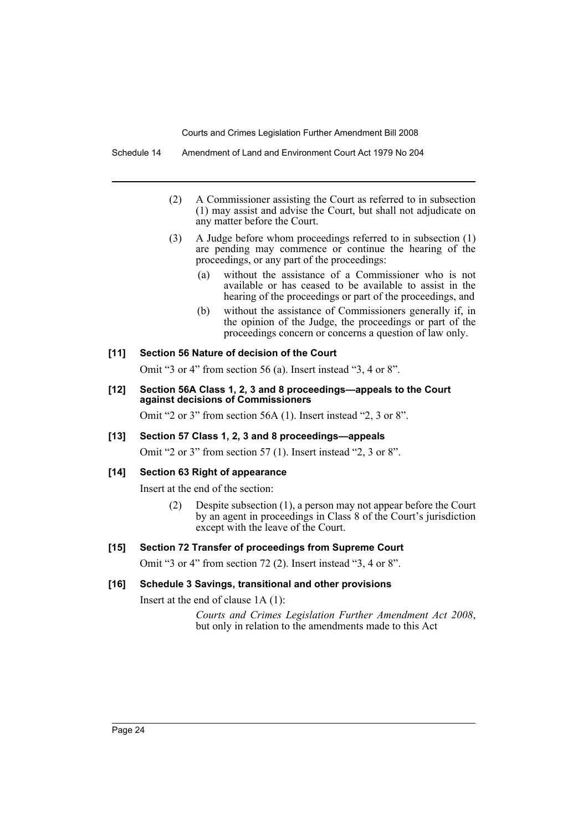- (2) A Commissioner assisting the Court as referred to in subsection (1) may assist and advise the Court, but shall not adjudicate on any matter before the Court.
- (3) A Judge before whom proceedings referred to in subsection (1) are pending may commence or continue the hearing of the proceedings, or any part of the proceedings:
	- (a) without the assistance of a Commissioner who is not available or has ceased to be available to assist in the hearing of the proceedings or part of the proceedings, and
	- (b) without the assistance of Commissioners generally if, in the opinion of the Judge, the proceedings or part of the proceedings concern or concerns a question of law only.

# **[11] Section 56 Nature of decision of the Court**

Omit "3 or 4" from section 56 (a). Insert instead "3, 4 or 8".

**[12] Section 56A Class 1, 2, 3 and 8 proceedings—appeals to the Court against decisions of Commissioners**

Omit "2 or 3" from section 56A (1). Insert instead "2, 3 or 8".

**[13] Section 57 Class 1, 2, 3 and 8 proceedings—appeals**

Omit "2 or 3" from section 57 (1). Insert instead "2, 3 or 8".

### **[14] Section 63 Right of appearance**

Insert at the end of the section:

(2) Despite subsection (1), a person may not appear before the Court by an agent in proceedings in Class 8 of the Court's jurisdiction except with the leave of the Court.

# **[15] Section 72 Transfer of proceedings from Supreme Court**

Omit "3 or 4" from section 72 (2). Insert instead "3, 4 or 8".

### **[16] Schedule 3 Savings, transitional and other provisions**

Insert at the end of clause 1A (1):

*Courts and Crimes Legislation Further Amendment Act 2008*, but only in relation to the amendments made to this Act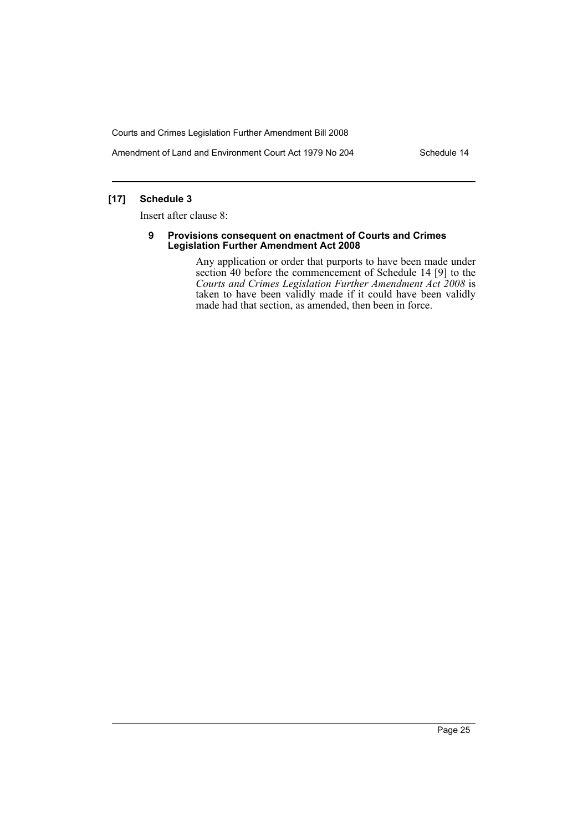Amendment of Land and Environment Court Act 1979 No 204 Schedule 14

# **[17] Schedule 3**

Insert after clause 8:

#### **9 Provisions consequent on enactment of Courts and Crimes Legislation Further Amendment Act 2008**

Any application or order that purports to have been made under section 40 before the commencement of Schedule 14 [9] to the *Courts and Crimes Legislation Further Amendment Act 2008* is taken to have been validly made if it could have been validly made had that section, as amended, then been in force.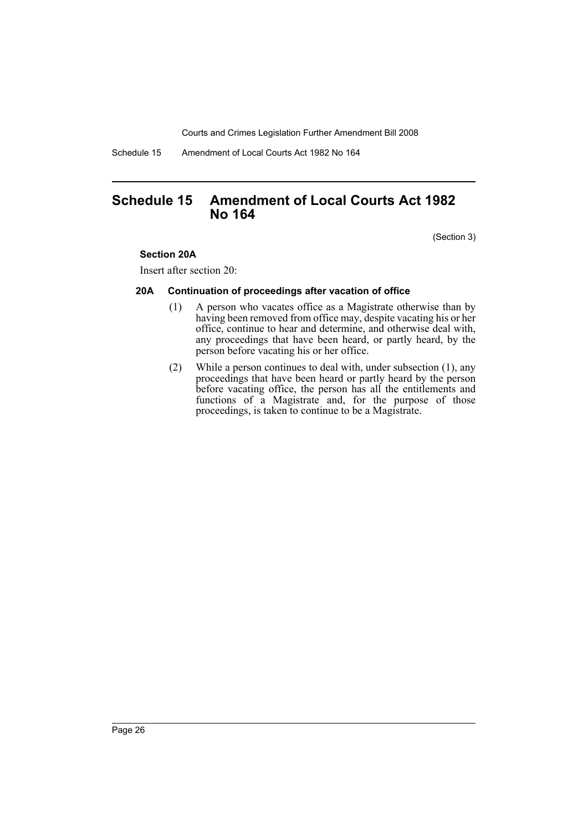Schedule 15 Amendment of Local Courts Act 1982 No 164

# <span id="page-27-0"></span>**Schedule 15 Amendment of Local Courts Act 1982 No 164**

(Section 3)

### **Section 20A**

Insert after section 20:

### **20A Continuation of proceedings after vacation of office**

- (1) A person who vacates office as a Magistrate otherwise than by having been removed from office may, despite vacating his or her office, continue to hear and determine, and otherwise deal with, any proceedings that have been heard, or partly heard, by the person before vacating his or her office.
- (2) While a person continues to deal with, under subsection (1), any proceedings that have been heard or partly heard by the person before vacating office, the person has all the entitlements and functions of a Magistrate and, for the purpose of those proceedings, is taken to continue to be a Magistrate.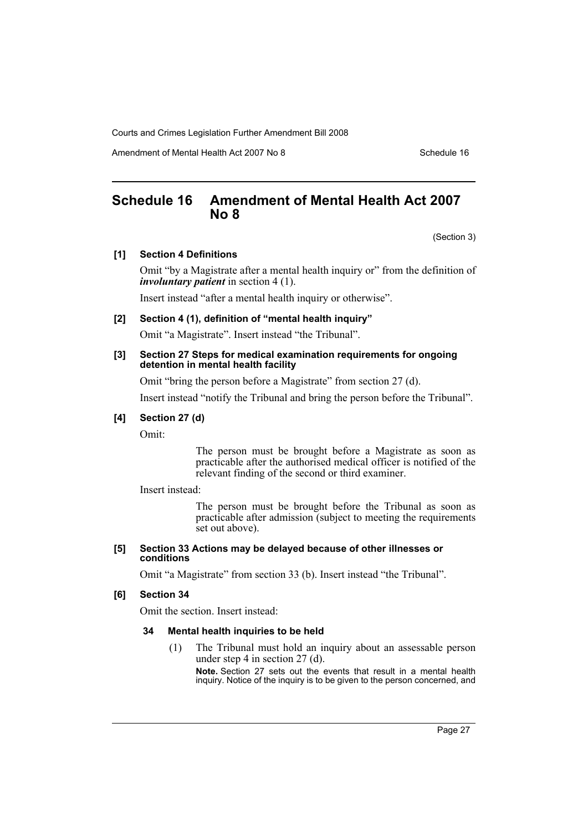Amendment of Mental Health Act 2007 No 8 Schedule 16

# <span id="page-28-0"></span>**Schedule 16 Amendment of Mental Health Act 2007 No 8**

(Section 3)

### **[1] Section 4 Definitions**

Omit "by a Magistrate after a mental health inquiry or" from the definition of *involuntary patient* in section 4 (1).

Insert instead "after a mental health inquiry or otherwise".

### **[2] Section 4 (1), definition of "mental health inquiry"**

Omit "a Magistrate". Insert instead "the Tribunal".

#### **[3] Section 27 Steps for medical examination requirements for ongoing detention in mental health facility**

Omit "bring the person before a Magistrate" from section 27 (d).

Insert instead "notify the Tribunal and bring the person before the Tribunal".

## **[4] Section 27 (d)**

Omit:

The person must be brought before a Magistrate as soon as practicable after the authorised medical officer is notified of the relevant finding of the second or third examiner.

Insert instead:

The person must be brought before the Tribunal as soon as practicable after admission (subject to meeting the requirements set out above).

#### **[5] Section 33 Actions may be delayed because of other illnesses or conditions**

Omit "a Magistrate" from section 33 (b). Insert instead "the Tribunal".

### **[6] Section 34**

Omit the section. Insert instead:

#### **34 Mental health inquiries to be held**

(1) The Tribunal must hold an inquiry about an assessable person under step 4 in section 27 (d).

**Note.** Section 27 sets out the events that result in a mental health inquiry. Notice of the inquiry is to be given to the person concerned, and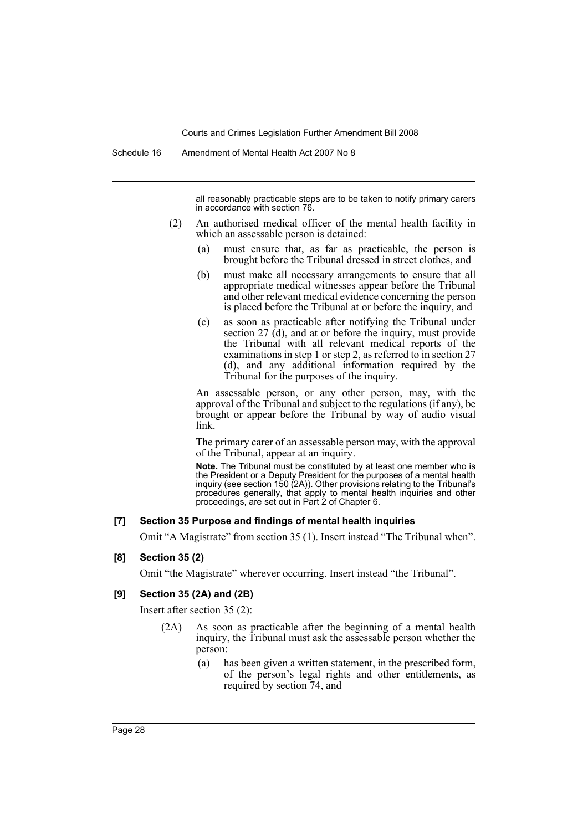all reasonably practicable steps are to be taken to notify primary carers in accordance with section 76.

- (2) An authorised medical officer of the mental health facility in which an assessable person is detained:
	- (a) must ensure that, as far as practicable, the person is brought before the Tribunal dressed in street clothes, and
	- (b) must make all necessary arrangements to ensure that all appropriate medical witnesses appear before the Tribunal and other relevant medical evidence concerning the person is placed before the Tribunal at or before the inquiry, and
	- (c) as soon as practicable after notifying the Tribunal under section 27 (d), and at or before the inquiry, must provide the Tribunal with all relevant medical reports of the examinations in step 1 or step 2, as referred to in section 27 (d), and any additional information required by the Tribunal for the purposes of the inquiry.

An assessable person, or any other person, may, with the approval of the Tribunal and subject to the regulations (if any), be brought or appear before the Tribunal by way of audio visual link.

The primary carer of an assessable person may, with the approval of the Tribunal, appear at an inquiry.

**Note.** The Tribunal must be constituted by at least one member who is the President or a Deputy President for the purposes of a mental health inquiry (see section 150 (2A)). Other provisions relating to the Tribunal's procedures generally, that apply to mental health inquiries and other proceedings, are set out in Part 2 of Chapter 6.

#### **[7] Section 35 Purpose and findings of mental health inquiries**

Omit "A Magistrate" from section 35 (1). Insert instead "The Tribunal when".

### **[8] Section 35 (2)**

Omit "the Magistrate" wherever occurring. Insert instead "the Tribunal".

### **[9] Section 35 (2A) and (2B)**

Insert after section 35 (2):

- (2A) As soon as practicable after the beginning of a mental health inquiry, the Tribunal must ask the assessable person whether the person:
	- (a) has been given a written statement, in the prescribed form, of the person's legal rights and other entitlements, as required by section 74, and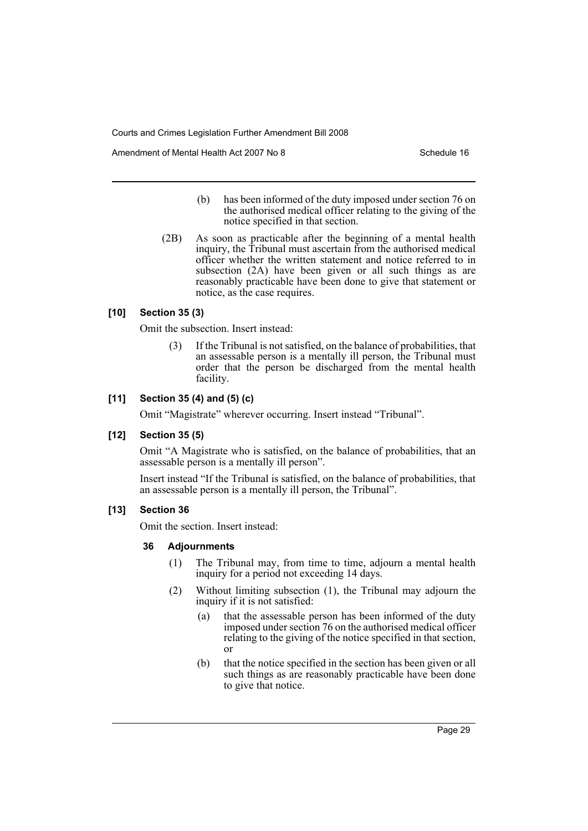Amendment of Mental Health Act 2007 No 8 Schedule 16

- (b) has been informed of the duty imposed under section 76 on the authorised medical officer relating to the giving of the notice specified in that section.
- (2B) As soon as practicable after the beginning of a mental health inquiry, the Tribunal must ascertain from the authorised medical officer whether the written statement and notice referred to in subsection (2A) have been given or all such things as are reasonably practicable have been done to give that statement or notice, as the case requires.

### **[10] Section 35 (3)**

Omit the subsection. Insert instead:

If the Tribunal is not satisfied, on the balance of probabilities, that an assessable person is a mentally ill person, the Tribunal must order that the person be discharged from the mental health facility.

### **[11] Section 35 (4) and (5) (c)**

Omit "Magistrate" wherever occurring. Insert instead "Tribunal".

### **[12] Section 35 (5)**

Omit "A Magistrate who is satisfied, on the balance of probabilities, that an assessable person is a mentally ill person".

Insert instead "If the Tribunal is satisfied, on the balance of probabilities, that an assessable person is a mentally ill person, the Tribunal".

#### **[13] Section 36**

Omit the section. Insert instead:

#### **36 Adjournments**

- (1) The Tribunal may, from time to time, adjourn a mental health inquiry for a period not exceeding 14 days.
- (2) Without limiting subsection (1), the Tribunal may adjourn the inquiry if it is not satisfied:
	- (a) that the assessable person has been informed of the duty imposed under section 76 on the authorised medical officer relating to the giving of the notice specified in that section, or
	- (b) that the notice specified in the section has been given or all such things as are reasonably practicable have been done to give that notice.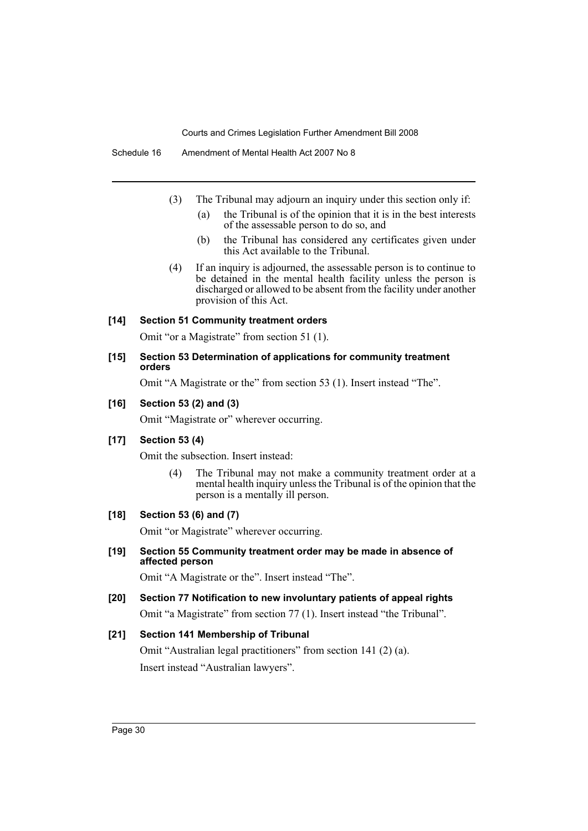Schedule 16 Amendment of Mental Health Act 2007 No 8

- (3) The Tribunal may adjourn an inquiry under this section only if:
	- (a) the Tribunal is of the opinion that it is in the best interests of the assessable person to do so, and
	- (b) the Tribunal has considered any certificates given under this Act available to the Tribunal.
- (4) If an inquiry is adjourned, the assessable person is to continue to be detained in the mental health facility unless the person is discharged or allowed to be absent from the facility under another provision of this Act.

### **[14] Section 51 Community treatment orders**

Omit "or a Magistrate" from section 51 (1).

### **[15] Section 53 Determination of applications for community treatment orders**

Omit "A Magistrate or the" from section 53 (1). Insert instead "The".

### **[16] Section 53 (2) and (3)**

Omit "Magistrate or" wherever occurring.

### **[17] Section 53 (4)**

Omit the subsection. Insert instead:

(4) The Tribunal may not make a community treatment order at a mental health inquiry unless the Tribunal is of the opinion that the person is a mentally ill person.

### **[18] Section 53 (6) and (7)**

Omit "or Magistrate" wherever occurring.

### **[19] Section 55 Community treatment order may be made in absence of affected person**

Omit "A Magistrate or the". Insert instead "The".

### **[20] Section 77 Notification to new involuntary patients of appeal rights**

Omit "a Magistrate" from section 77 (1). Insert instead "the Tribunal".

### **[21] Section 141 Membership of Tribunal**

Omit "Australian legal practitioners" from section 141 (2) (a). Insert instead "Australian lawyers".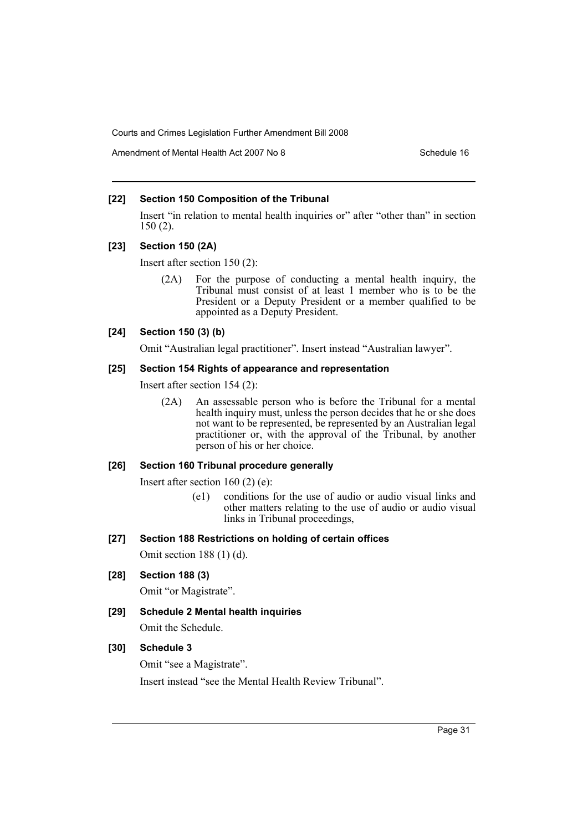Amendment of Mental Health Act 2007 No 8 Schedule 16

# **[22] Section 150 Composition of the Tribunal**

Insert "in relation to mental health inquiries or" after "other than" in section 150 (2).

### **[23] Section 150 (2A)**

Insert after section 150 (2):

(2A) For the purpose of conducting a mental health inquiry, the Tribunal must consist of at least 1 member who is to be the President or a Deputy President or a member qualified to be appointed as a Deputy President.

# **[24] Section 150 (3) (b)**

Omit "Australian legal practitioner". Insert instead "Australian lawyer".

### **[25] Section 154 Rights of appearance and representation**

Insert after section 154 (2):

(2A) An assessable person who is before the Tribunal for a mental health inquiry must, unless the person decides that he or she does not want to be represented, be represented by an Australian legal practitioner or, with the approval of the Tribunal, by another person of his or her choice.

### **[26] Section 160 Tribunal procedure generally**

Insert after section 160 (2) (e):

(e1) conditions for the use of audio or audio visual links and other matters relating to the use of audio or audio visual links in Tribunal proceedings,

### **[27] Section 188 Restrictions on holding of certain offices**

Omit section 188 (1) (d).

# **[28] Section 188 (3)**

Omit "or Magistrate".

**[29] Schedule 2 Mental health inquiries**

Omit the Schedule.

# **[30] Schedule 3**

Omit "see a Magistrate".

Insert instead "see the Mental Health Review Tribunal".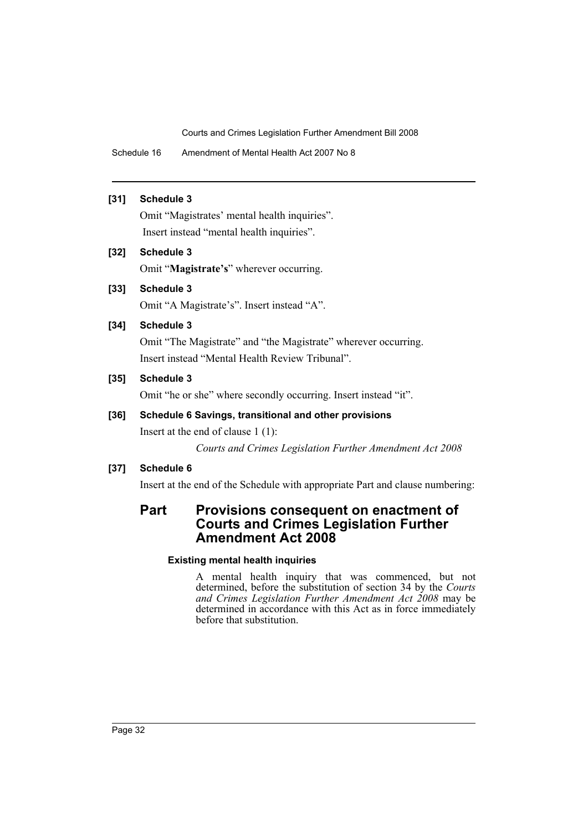Schedule 16 Amendment of Mental Health Act 2007 No 8

# **[31] Schedule 3**

Omit "Magistrates' mental health inquiries". Insert instead "mental health inquiries".

# **[32] Schedule 3**

Omit "**Magistrate's**" wherever occurring.

# **[33] Schedule 3**

Omit "A Magistrate's". Insert instead "A".

# **[34] Schedule 3**

Omit "The Magistrate" and "the Magistrate" wherever occurring. Insert instead "Mental Health Review Tribunal".

# **[35] Schedule 3**

Omit "he or she" where secondly occurring. Insert instead "it".

# **[36] Schedule 6 Savings, transitional and other provisions**

Insert at the end of clause 1 (1):

*Courts and Crimes Legislation Further Amendment Act 2008* 

# **[37] Schedule 6**

Insert at the end of the Schedule with appropriate Part and clause numbering:

# **Part Provisions consequent on enactment of Courts and Crimes Legislation Further Amendment Act 2008**

# **Existing mental health inquiries**

A mental health inquiry that was commenced, but not determined, before the substitution of section 34 by the *Courts and Crimes Legislation Further Amendment Act 2008* may be determined in accordance with this Act as in force immediately before that substitution.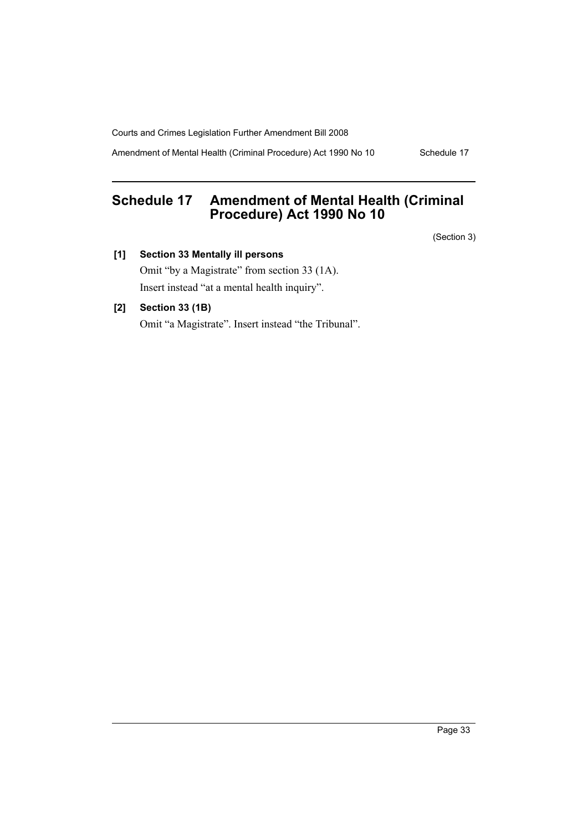Amendment of Mental Health (Criminal Procedure) Act 1990 No 10 Schedule 17

# <span id="page-34-0"></span>**Schedule 17 Amendment of Mental Health (Criminal Procedure) Act 1990 No 10**

(Section 3)

**[1] Section 33 Mentally ill persons**

Omit "by a Magistrate" from section 33 (1A). Insert instead "at a mental health inquiry".

# **[2] Section 33 (1B)**

Omit "a Magistrate". Insert instead "the Tribunal".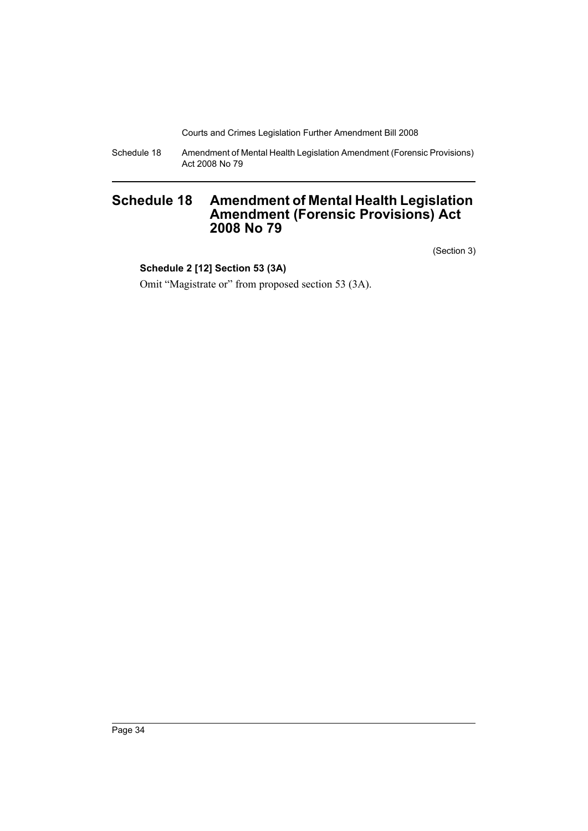Schedule 18 Amendment of Mental Health Legislation Amendment (Forensic Provisions) Act 2008 No 79

# <span id="page-35-0"></span>**Schedule 18 Amendment of Mental Health Legislation Amendment (Forensic Provisions) Act 2008 No 79**

(Section 3)

# **Schedule 2 [12] Section 53 (3A)**

Omit "Magistrate or" from proposed section 53 (3A).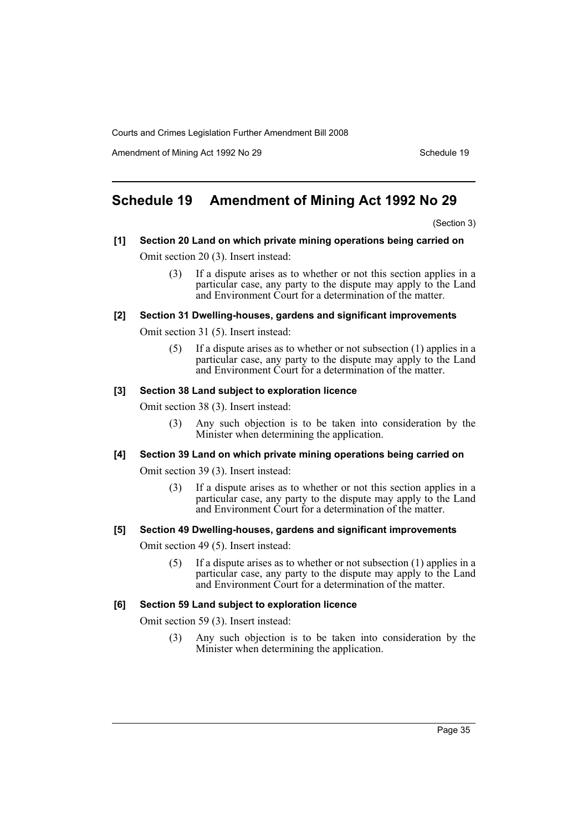Amendment of Mining Act 1992 No 29 Schedule 19

# **Schedule 19 Amendment of Mining Act 1992 No 29**

(Section 3)

## **[1] Section 20 Land on which private mining operations being carried on** Omit section 20 (3). Insert instead:

(3) If a dispute arises as to whether or not this section applies in a particular case, any party to the dispute may apply to the Land and Environment Court for a determination of the matter.

#### **[2] Section 31 Dwelling-houses, gardens and significant improvements**

Omit section 31 (5). Insert instead:

(5) If a dispute arises as to whether or not subsection (1) applies in a particular case, any party to the dispute may apply to the Land and Environment Court for a determination of the matter.

#### **[3] Section 38 Land subject to exploration licence**

Omit section 38 (3). Insert instead:

(3) Any such objection is to be taken into consideration by the Minister when determining the application.

#### **[4] Section 39 Land on which private mining operations being carried on**

Omit section 39 (3). Insert instead:

(3) If a dispute arises as to whether or not this section applies in a particular case, any party to the dispute may apply to the Land and Environment Court for a determination of the matter.

#### **[5] Section 49 Dwelling-houses, gardens and significant improvements**

Omit section 49 (5). Insert instead:

(5) If a dispute arises as to whether or not subsection (1) applies in a particular case, any party to the dispute may apply to the Land and Environment Court for a determination of the matter.

#### **[6] Section 59 Land subject to exploration licence**

Omit section 59 (3). Insert instead:

(3) Any such objection is to be taken into consideration by the Minister when determining the application.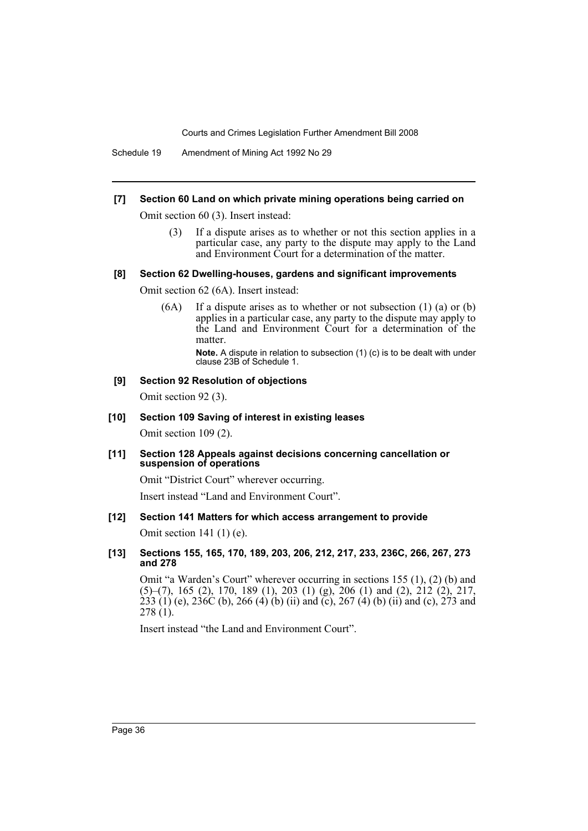Schedule 19 Amendment of Mining Act 1992 No 29

## **[7] Section 60 Land on which private mining operations being carried on**

Omit section 60 (3). Insert instead:

(3) If a dispute arises as to whether or not this section applies in a particular case, any party to the dispute may apply to the Land and Environment Court for a determination of the matter.

#### **[8] Section 62 Dwelling-houses, gardens and significant improvements**

Omit section 62 (6A). Insert instead:

(6A) If a dispute arises as to whether or not subsection (1) (a) or (b) applies in a particular case, any party to the dispute may apply to the Land and Environment Court for a determination of the matter.

**Note.** A dispute in relation to subsection (1) (c) is to be dealt with under clause 23B of Schedule 1.

## **[9] Section 92 Resolution of objections**

Omit section 92 (3).

## **[10] Section 109 Saving of interest in existing leases**

Omit section 109 (2).

**[11] Section 128 Appeals against decisions concerning cancellation or suspension of operations**

Omit "District Court" wherever occurring.

Insert instead "Land and Environment Court".

## **[12] Section 141 Matters for which access arrangement to provide**

Omit section 141 (1) (e).

**[13] Sections 155, 165, 170, 189, 203, 206, 212, 217, 233, 236C, 266, 267, 273 and 278**

Omit "a Warden's Court" wherever occurring in sections 155 (1), (2) (b) and (5)–(7), 165 (2), 170, 189 (1), 203 (1) (g), 206 (1) and (2), 212 (2), 217, 233 (1) (e), 236C (b), 266 (4) (b) (ii) and (c), 267 (4) (b) (ii) and (c), 273 and 278 (1).

Insert instead "the Land and Environment Court".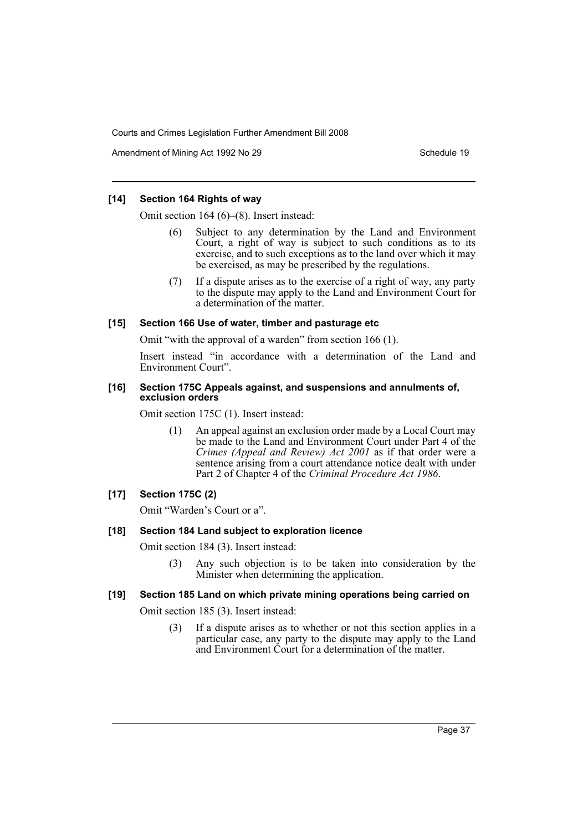Amendment of Mining Act 1992 No 29 Schedule 19

## **[14] Section 164 Rights of way**

Omit section 164 (6)–(8). Insert instead:

- Subject to any determination by the Land and Environment Court, a right of way is subject to such conditions as to its exercise, and to such exceptions as to the land over which it may be exercised, as may be prescribed by the regulations.
- (7) If a dispute arises as to the exercise of a right of way, any party to the dispute may apply to the Land and Environment Court for a determination of the matter.

## **[15] Section 166 Use of water, timber and pasturage etc**

Omit "with the approval of a warden" from section 166 (1).

Insert instead "in accordance with a determination of the Land and Environment Court".

#### **[16] Section 175C Appeals against, and suspensions and annulments of, exclusion orders**

Omit section 175C (1). Insert instead:

(1) An appeal against an exclusion order made by a Local Court may be made to the Land and Environment Court under Part 4 of the *Crimes (Appeal and Review) Act 2001* as if that order were a sentence arising from a court attendance notice dealt with under Part 2 of Chapter 4 of the *Criminal Procedure Act 1986*.

## **[17] Section 175C (2)**

Omit "Warden's Court or a".

#### **[18] Section 184 Land subject to exploration licence**

Omit section 184 (3). Insert instead:

(3) Any such objection is to be taken into consideration by the Minister when determining the application.

## **[19] Section 185 Land on which private mining operations being carried on**

Omit section 185 (3). Insert instead:

(3) If a dispute arises as to whether or not this section applies in a particular case, any party to the dispute may apply to the Land and Environment Court for a determination of the matter.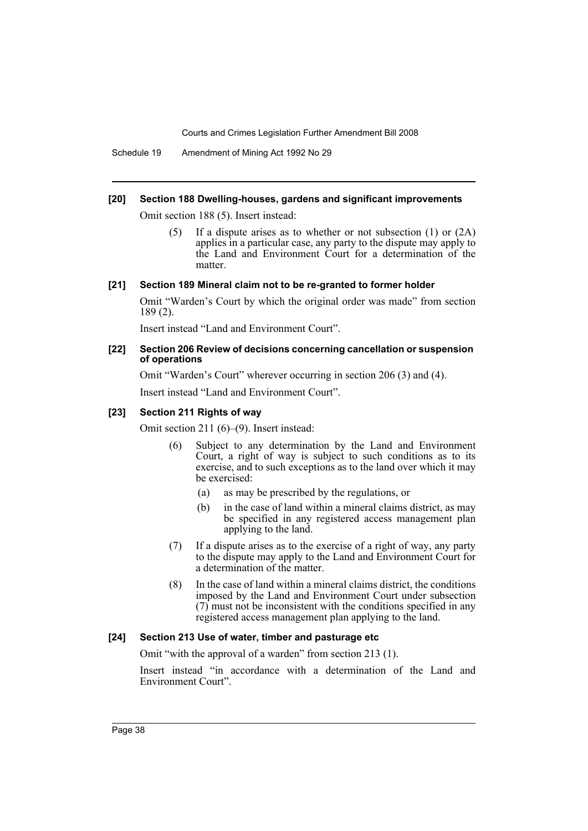Schedule 19 Amendment of Mining Act 1992 No 29

#### **[20] Section 188 Dwelling-houses, gardens and significant improvements**

Omit section 188 (5). Insert instead:

(5) If a dispute arises as to whether or not subsection (1) or (2A) applies in a particular case, any party to the dispute may apply to the Land and Environment Court for a determination of the matter.

#### **[21] Section 189 Mineral claim not to be re-granted to former holder**

Omit "Warden's Court by which the original order was made" from section 189 (2).

Insert instead "Land and Environment Court".

#### **[22] Section 206 Review of decisions concerning cancellation or suspension of operations**

Omit "Warden's Court" wherever occurring in section 206 (3) and (4).

Insert instead "Land and Environment Court".

#### **[23] Section 211 Rights of way**

Omit section 211 (6)–(9). Insert instead:

- (6) Subject to any determination by the Land and Environment Court, a right of way is subject to such conditions as to its exercise, and to such exceptions as to the land over which it may be exercised:
	- (a) as may be prescribed by the regulations, or
	- (b) in the case of land within a mineral claims district, as may be specified in any registered access management plan applying to the land.
- (7) If a dispute arises as to the exercise of a right of way, any party to the dispute may apply to the Land and Environment Court for a determination of the matter.
- (8) In the case of land within a mineral claims district, the conditions imposed by the Land and Environment Court under subsection (7) must not be inconsistent with the conditions specified in any registered access management plan applying to the land.

#### **[24] Section 213 Use of water, timber and pasturage etc**

Omit "with the approval of a warden" from section 213 (1).

Insert instead "in accordance with a determination of the Land and Environment Court".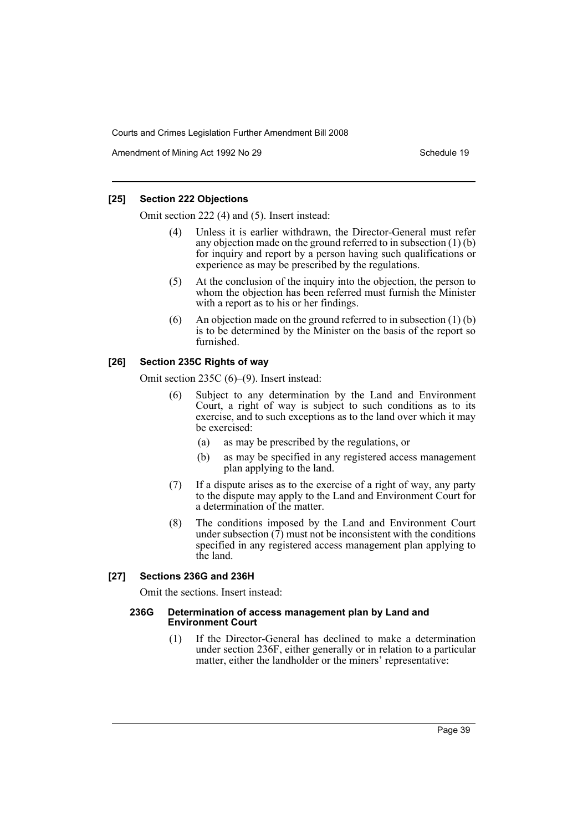Amendment of Mining Act 1992 No 29 Schedule 19

## **[25] Section 222 Objections**

Omit section 222 (4) and (5). Insert instead:

- Unless it is earlier withdrawn, the Director-General must refer any objection made on the ground referred to in subsection (1) (b) for inquiry and report by a person having such qualifications or experience as may be prescribed by the regulations.
- (5) At the conclusion of the inquiry into the objection, the person to whom the objection has been referred must furnish the Minister with a report as to his or her findings.
- (6) An objection made on the ground referred to in subsection  $(1)$  (b) is to be determined by the Minister on the basis of the report so furnished.

## **[26] Section 235C Rights of way**

Omit section 235C (6)–(9). Insert instead:

- (6) Subject to any determination by the Land and Environment Court, a right of way is subject to such conditions as to its exercise, and to such exceptions as to the land over which it may be exercised:
	- (a) as may be prescribed by the regulations, or
	- (b) as may be specified in any registered access management plan applying to the land.
- (7) If a dispute arises as to the exercise of a right of way, any party to the dispute may apply to the Land and Environment Court for a determination of the matter.
- (8) The conditions imposed by the Land and Environment Court under subsection  $(\vec{7})$  must not be inconsistent with the conditions specified in any registered access management plan applying to the land.

## **[27] Sections 236G and 236H**

Omit the sections. Insert instead:

#### **236G Determination of access management plan by Land and Environment Court**

(1) If the Director-General has declined to make a determination under section 236F, either generally or in relation to a particular matter, either the landholder or the miners' representative: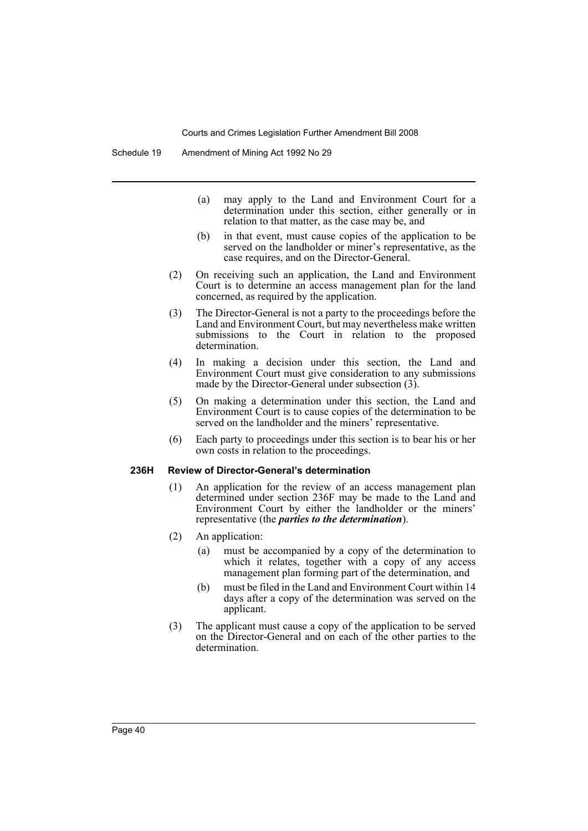- (a) may apply to the Land and Environment Court for a determination under this section, either generally or in relation to that matter, as the case may be, and
- (b) in that event, must cause copies of the application to be served on the landholder or miner's representative, as the case requires, and on the Director-General.
- (2) On receiving such an application, the Land and Environment Court is to determine an access management plan for the land concerned, as required by the application.
- (3) The Director-General is not a party to the proceedings before the Land and Environment Court, but may nevertheless make written submissions to the Court in relation to the proposed determination.
- (4) In making a decision under this section, the Land and Environment Court must give consideration to any submissions made by the Director-General under subsection (3).
- (5) On making a determination under this section, the Land and Environment Court is to cause copies of the determination to be served on the landholder and the miners' representative.
- (6) Each party to proceedings under this section is to bear his or her own costs in relation to the proceedings.

### **236H Review of Director-General's determination**

- (1) An application for the review of an access management plan determined under section 236F may be made to the Land and Environment Court by either the landholder or the miners' representative (the *parties to the determination*).
- (2) An application:
	- (a) must be accompanied by a copy of the determination to which it relates, together with a copy of any access management plan forming part of the determination, and
	- (b) must be filed in the Land and Environment Court within 14 days after a copy of the determination was served on the applicant.
- (3) The applicant must cause a copy of the application to be served on the Director-General and on each of the other parties to the determination.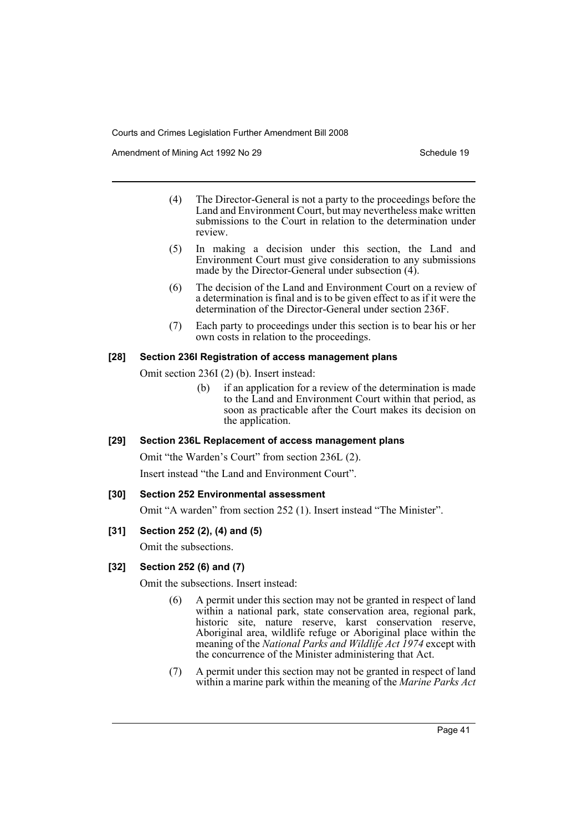Amendment of Mining Act 1992 No 29 Schedule 19

- (4) The Director-General is not a party to the proceedings before the Land and Environment Court, but may nevertheless make written submissions to the Court in relation to the determination under review.
- (5) In making a decision under this section, the Land and Environment Court must give consideration to any submissions made by the Director-General under subsection (4).
- (6) The decision of the Land and Environment Court on a review of a determination is final and is to be given effect to as if it were the determination of the Director-General under section 236F.
- (7) Each party to proceedings under this section is to bear his or her own costs in relation to the proceedings.

## **[28] Section 236I Registration of access management plans**

Omit section 236I (2) (b). Insert instead:

(b) if an application for a review of the determination is made to the Land and Environment Court within that period, as soon as practicable after the Court makes its decision on the application.

## **[29] Section 236L Replacement of access management plans**

Omit "the Warden's Court" from section 236L (2). Insert instead "the Land and Environment Court".

## **[30] Section 252 Environmental assessment**

Omit "A warden" from section 252 (1). Insert instead "The Minister".

# **[31] Section 252 (2), (4) and (5)**

Omit the subsections.

# **[32] Section 252 (6) and (7)**

Omit the subsections. Insert instead:

- (6) A permit under this section may not be granted in respect of land within a national park, state conservation area, regional park, historic site, nature reserve, karst conservation reserve, Aboriginal area, wildlife refuge or Aboriginal place within the meaning of the *National Parks and Wildlife Act 1974* except with the concurrence of the Minister administering that Act.
- (7) A permit under this section may not be granted in respect of land within a marine park within the meaning of the *Marine Parks Act*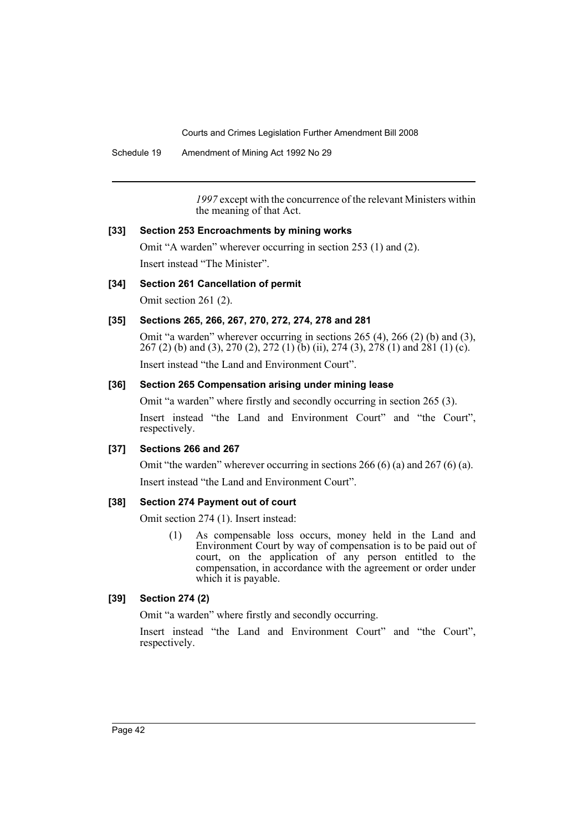Schedule 19 Amendment of Mining Act 1992 No 29

*1997* except with the concurrence of the relevant Ministers within the meaning of that Act.

### **[33] Section 253 Encroachments by mining works**

Omit "A warden" wherever occurring in section 253 (1) and (2). Insert instead "The Minister".

### **[34] Section 261 Cancellation of permit**

Omit section 261 (2).

## **[35] Sections 265, 266, 267, 270, 272, 274, 278 and 281**

Omit "a warden" wherever occurring in sections 265 (4), 266 (2) (b) and (3), 267 (2) (b) and (3), 270 (2), 272 (1) (b) (ii), 274 (3), 278 (1) and 281 (1) (c). Insert instead "the Land and Environment Court".

### **[36] Section 265 Compensation arising under mining lease**

Omit "a warden" where firstly and secondly occurring in section 265 (3). Insert instead "the Land and Environment Court" and "the Court", respectively.

#### **[37] Sections 266 and 267**

Omit "the warden" wherever occurring in sections 266 (6) (a) and 267 (6) (a).

Insert instead "the Land and Environment Court".

## **[38] Section 274 Payment out of court**

Omit section 274 (1). Insert instead:

(1) As compensable loss occurs, money held in the Land and Environment Court by way of compensation is to be paid out of court, on the application of any person entitled to the compensation, in accordance with the agreement or order under which it is payable.

### **[39] Section 274 (2)**

Omit "a warden" where firstly and secondly occurring.

Insert instead "the Land and Environment Court" and "the Court", respectively.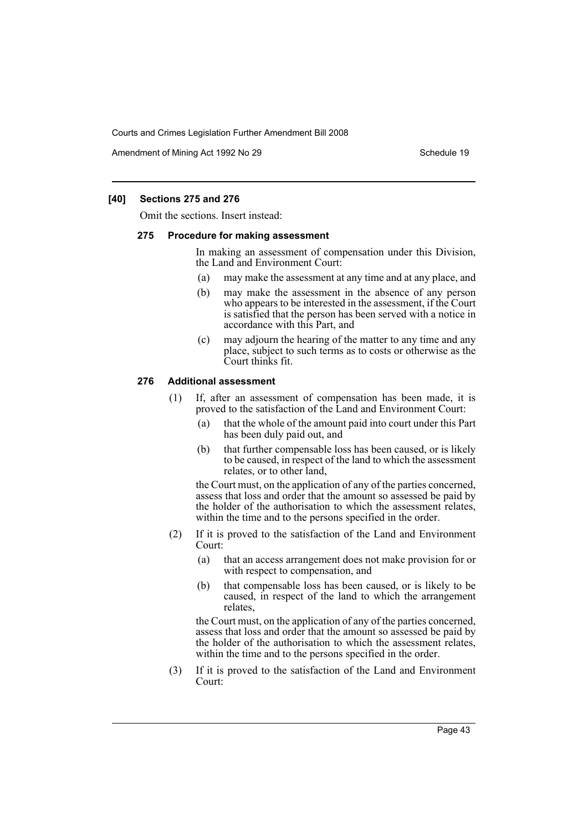Amendment of Mining Act 1992 No 29 Schedule 19

## **[40] Sections 275 and 276**

Omit the sections. Insert instead:

#### **275 Procedure for making assessment**

In making an assessment of compensation under this Division, the Land and Environment Court:

- (a) may make the assessment at any time and at any place, and
- (b) may make the assessment in the absence of any person who appears to be interested in the assessment, if the Court is satisfied that the person has been served with a notice in accordance with this Part, and
- (c) may adjourn the hearing of the matter to any time and any place, subject to such terms as to costs or otherwise as the Court thinks fit.

#### **276 Additional assessment**

- (1) If, after an assessment of compensation has been made, it is proved to the satisfaction of the Land and Environment Court:
	- (a) that the whole of the amount paid into court under this Part has been duly paid out, and
	- (b) that further compensable loss has been caused, or is likely to be caused, in respect of the land to which the assessment relates, or to other land,

the Court must, on the application of any of the parties concerned, assess that loss and order that the amount so assessed be paid by the holder of the authorisation to which the assessment relates, within the time and to the persons specified in the order.

- (2) If it is proved to the satisfaction of the Land and Environment Court:
	- (a) that an access arrangement does not make provision for or with respect to compensation, and
	- (b) that compensable loss has been caused, or is likely to be caused, in respect of the land to which the arrangement relates,

the Court must, on the application of any of the parties concerned, assess that loss and order that the amount so assessed be paid by the holder of the authorisation to which the assessment relates, within the time and to the persons specified in the order.

(3) If it is proved to the satisfaction of the Land and Environment Court: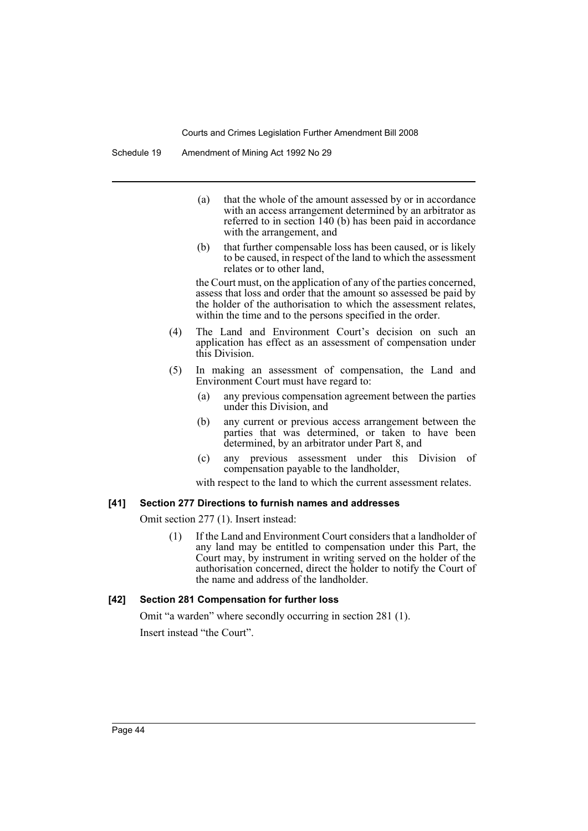- (a) that the whole of the amount assessed by or in accordance with an access arrangement determined by an arbitrator as referred to in section 140 (b) has been paid in accordance with the arrangement, and
- (b) that further compensable loss has been caused, or is likely to be caused, in respect of the land to which the assessment relates or to other land,

the Court must, on the application of any of the parties concerned, assess that loss and order that the amount so assessed be paid by the holder of the authorisation to which the assessment relates, within the time and to the persons specified in the order.

- (4) The Land and Environment Court's decision on such an application has effect as an assessment of compensation under this Division.
- (5) In making an assessment of compensation, the Land and Environment Court must have regard to:
	- (a) any previous compensation agreement between the parties under this Division, and
	- (b) any current or previous access arrangement between the parties that was determined, or taken to have been determined, by an arbitrator under Part 8, and
	- (c) any previous assessment under this Division of compensation payable to the landholder,

with respect to the land to which the current assessment relates.

#### **[41] Section 277 Directions to furnish names and addresses**

Omit section 277 (1). Insert instead:

(1) If the Land and Environment Court considers that a landholder of any land may be entitled to compensation under this Part, the Court may, by instrument in writing served on the holder of the authorisation concerned, direct the holder to notify the Court of the name and address of the landholder.

#### **[42] Section 281 Compensation for further loss**

Omit "a warden" where secondly occurring in section 281 (1). Insert instead "the Court".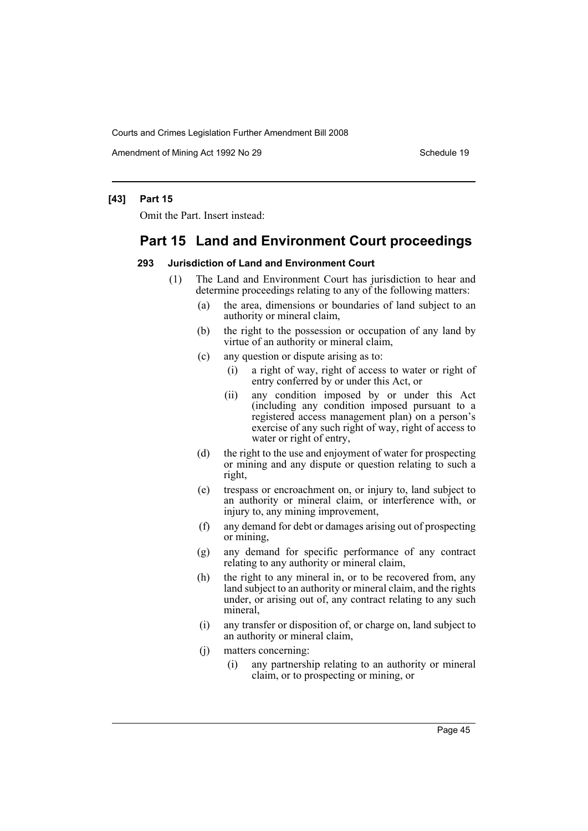Amendment of Mining Act 1992 No 29 Schedule 19

### **[43] Part 15**

Omit the Part. Insert instead:

# **Part 15 Land and Environment Court proceedings**

#### **293 Jurisdiction of Land and Environment Court**

- (1) The Land and Environment Court has jurisdiction to hear and determine proceedings relating to any of the following matters:
	- (a) the area, dimensions or boundaries of land subject to an authority or mineral claim,
	- (b) the right to the possession or occupation of any land by virtue of an authority or mineral claim,
	- (c) any question or dispute arising as to:
		- (i) a right of way, right of access to water or right of entry conferred by or under this Act, or
		- (ii) any condition imposed by or under this Act (including any condition imposed pursuant to a registered access management plan) on a person's exercise of any such right of way, right of access to water or right of entry,
	- (d) the right to the use and enjoyment of water for prospecting or mining and any dispute or question relating to such a right,
	- (e) trespass or encroachment on, or injury to, land subject to an authority or mineral claim, or interference with, or injury to, any mining improvement,
	- (f) any demand for debt or damages arising out of prospecting or mining,
	- (g) any demand for specific performance of any contract relating to any authority or mineral claim,
	- (h) the right to any mineral in, or to be recovered from, any land subject to an authority or mineral claim, and the rights under, or arising out of, any contract relating to any such mineral,
	- (i) any transfer or disposition of, or charge on, land subject to an authority or mineral claim,
	- (j) matters concerning:
		- (i) any partnership relating to an authority or mineral claim, or to prospecting or mining, or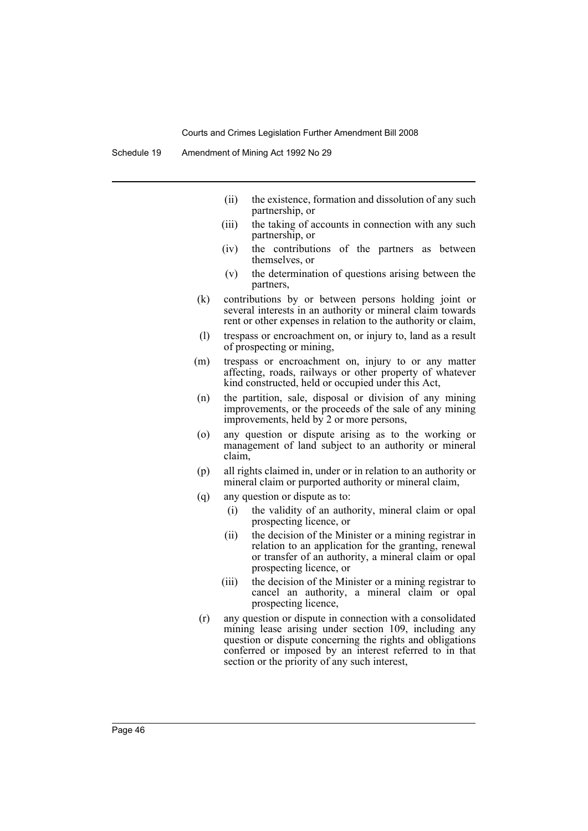Schedule 19 Amendment of Mining Act 1992 No 29

- (ii) the existence, formation and dissolution of any such partnership, or
- (iii) the taking of accounts in connection with any such partnership, or
- (iv) the contributions of the partners as between themselves, or
- (v) the determination of questions arising between the partners,
- (k) contributions by or between persons holding joint or several interests in an authority or mineral claim towards rent or other expenses in relation to the authority or claim,
- (l) trespass or encroachment on, or injury to, land as a result of prospecting or mining,
- (m) trespass or encroachment on, injury to or any matter affecting, roads, railways or other property of whatever kind constructed, held or occupied under this Act,
- (n) the partition, sale, disposal or division of any mining improvements, or the proceeds of the sale of any mining improvements, held by 2 or more persons,
- (o) any question or dispute arising as to the working or management of land subject to an authority or mineral claim,
- (p) all rights claimed in, under or in relation to an authority or mineral claim or purported authority or mineral claim,
- (q) any question or dispute as to:
	- (i) the validity of an authority, mineral claim or opal prospecting licence, or
	- (ii) the decision of the Minister or a mining registrar in relation to an application for the granting, renewal or transfer of an authority, a mineral claim or opal prospecting licence, or
	- (iii) the decision of the Minister or a mining registrar to cancel an authority, a mineral claim or opal prospecting licence,
- (r) any question or dispute in connection with a consolidated mining lease arising under section 109, including any question or dispute concerning the rights and obligations conferred or imposed by an interest referred to in that section or the priority of any such interest,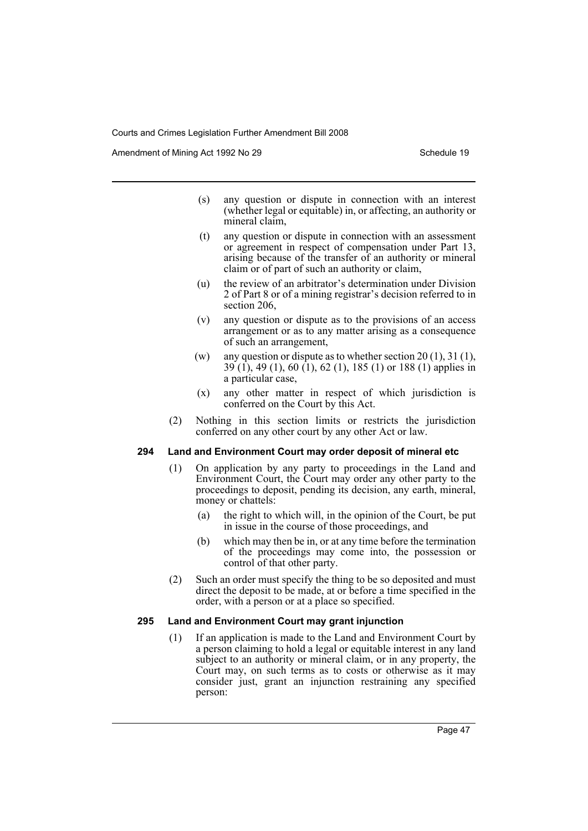Amendment of Mining Act 1992 No 29 Schedule 19

- (s) any question or dispute in connection with an interest (whether legal or equitable) in, or affecting, an authority or mineral claim,
- (t) any question or dispute in connection with an assessment or agreement in respect of compensation under Part 13, arising because of the transfer of an authority or mineral claim or of part of such an authority or claim,
- (u) the review of an arbitrator's determination under Division 2 of Part 8 or of a mining registrar's decision referred to in section 206,
- (v) any question or dispute as to the provisions of an access arrangement or as to any matter arising as a consequence of such an arrangement,
- (w) any question or dispute as to whether section  $20(1)$ ,  $31(1)$ ,  $39(1)$ , 49 (1), 60 (1), 62 (1), 185 (1) or 188 (1) applies in a particular case,
- (x) any other matter in respect of which jurisdiction is conferred on the Court by this Act.
- (2) Nothing in this section limits or restricts the jurisdiction conferred on any other court by any other Act or law.

#### **294 Land and Environment Court may order deposit of mineral etc**

- (1) On application by any party to proceedings in the Land and Environment Court, the Court may order any other party to the proceedings to deposit, pending its decision, any earth, mineral, money or chattels:
	- (a) the right to which will, in the opinion of the Court, be put in issue in the course of those proceedings, and
	- (b) which may then be in, or at any time before the termination of the proceedings may come into, the possession or control of that other party.
- (2) Such an order must specify the thing to be so deposited and must direct the deposit to be made, at or before a time specified in the order, with a person or at a place so specified.

### **295 Land and Environment Court may grant injunction**

(1) If an application is made to the Land and Environment Court by a person claiming to hold a legal or equitable interest in any land subject to an authority or mineral claim, or in any property, the Court may, on such terms as to costs or otherwise as it may consider just, grant an injunction restraining any specified person: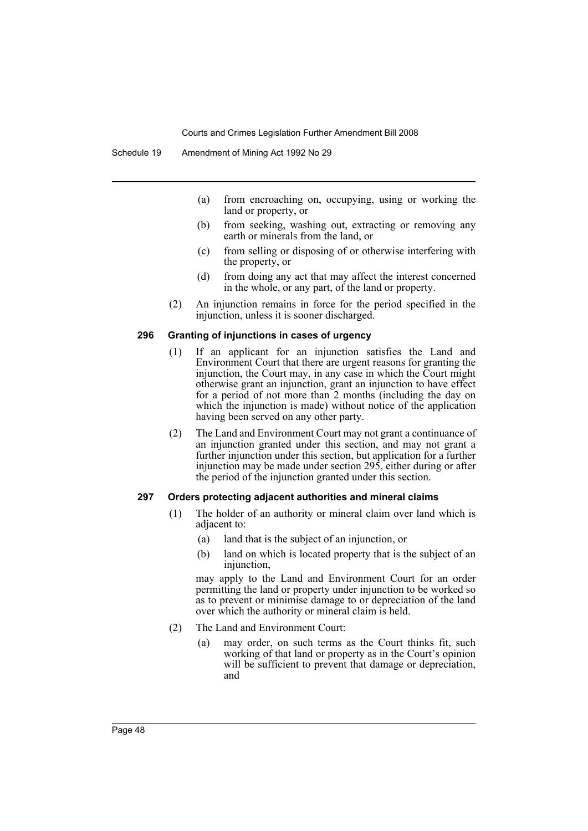- (a) from encroaching on, occupying, using or working the land or property, or
- (b) from seeking, washing out, extracting or removing any earth or minerals from the land, or
- (c) from selling or disposing of or otherwise interfering with the property, or
- (d) from doing any act that may affect the interest concerned in the whole, or any part, of the land or property.
- (2) An injunction remains in force for the period specified in the injunction, unless it is sooner discharged.

#### **296 Granting of injunctions in cases of urgency**

- (1) If an applicant for an injunction satisfies the Land and Environment Court that there are urgent reasons for granting the injunction, the Court may, in any case in which the Court might otherwise grant an injunction, grant an injunction to have effect for a period of not more than 2 months (including the day on which the injunction is made) without notice of the application having been served on any other party.
- (2) The Land and Environment Court may not grant a continuance of an injunction granted under this section, and may not grant a further injunction under this section, but application for a further injunction may be made under section 295, either during or after the period of the injunction granted under this section.

#### **297 Orders protecting adjacent authorities and mineral claims**

- (1) The holder of an authority or mineral claim over land which is adjacent to:
	- (a) land that is the subject of an injunction, or
	- (b) land on which is located property that is the subject of an injunction,

may apply to the Land and Environment Court for an order permitting the land or property under injunction to be worked so as to prevent or minimise damage to or depreciation of the land over which the authority or mineral claim is held.

- (2) The Land and Environment Court:
	- (a) may order, on such terms as the Court thinks fit, such working of that land or property as in the Court's opinion will be sufficient to prevent that damage or depreciation, and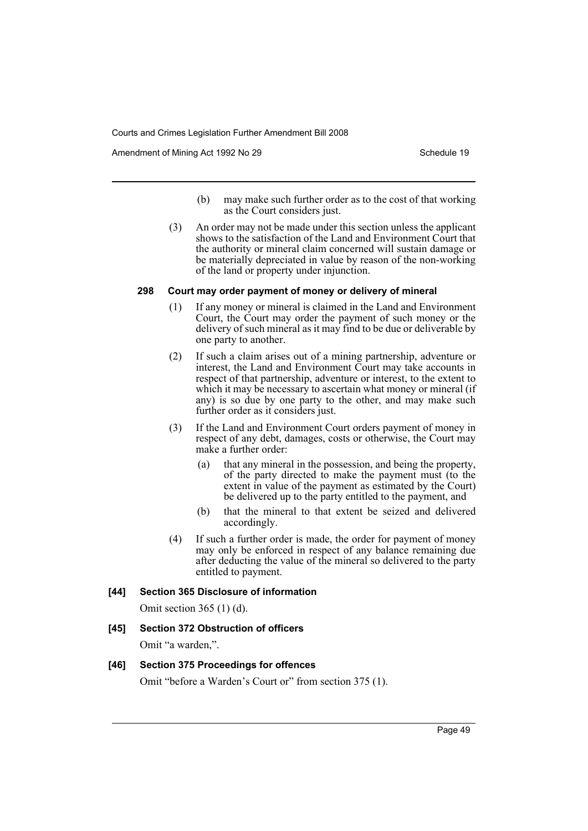Amendment of Mining Act 1992 No 29 Schedule 19

- (b) may make such further order as to the cost of that working as the Court considers just.
- (3) An order may not be made under this section unless the applicant shows to the satisfaction of the Land and Environment Court that the authority or mineral claim concerned will sustain damage or be materially depreciated in value by reason of the non-working of the land or property under injunction.

## **298 Court may order payment of money or delivery of mineral**

- (1) If any money or mineral is claimed in the Land and Environment Court, the Court may order the payment of such money or the delivery of such mineral as it may find to be due or deliverable by one party to another.
- (2) If such a claim arises out of a mining partnership, adventure or interest, the Land and Environment Court may take accounts in respect of that partnership, adventure or interest, to the extent to which it may be necessary to ascertain what money or mineral (if any) is so due by one party to the other, and may make such further order as it considers just.
- (3) If the Land and Environment Court orders payment of money in respect of any debt, damages, costs or otherwise, the Court may make a further order:
	- (a) that any mineral in the possession, and being the property, of the party directed to make the payment must (to the extent in value of the payment as estimated by the Court) be delivered up to the party entitled to the payment, and
	- (b) that the mineral to that extent be seized and delivered accordingly.
- (4) If such a further order is made, the order for payment of money may only be enforced in respect of any balance remaining due after deducting the value of the mineral so delivered to the party entitled to payment.

## **[44] Section 365 Disclosure of information**

Omit section 365 (1) (d).

## **[45] Section 372 Obstruction of officers**

Omit "a warden,".

## **[46] Section 375 Proceedings for offences**

Omit "before a Warden's Court or" from section 375 (1).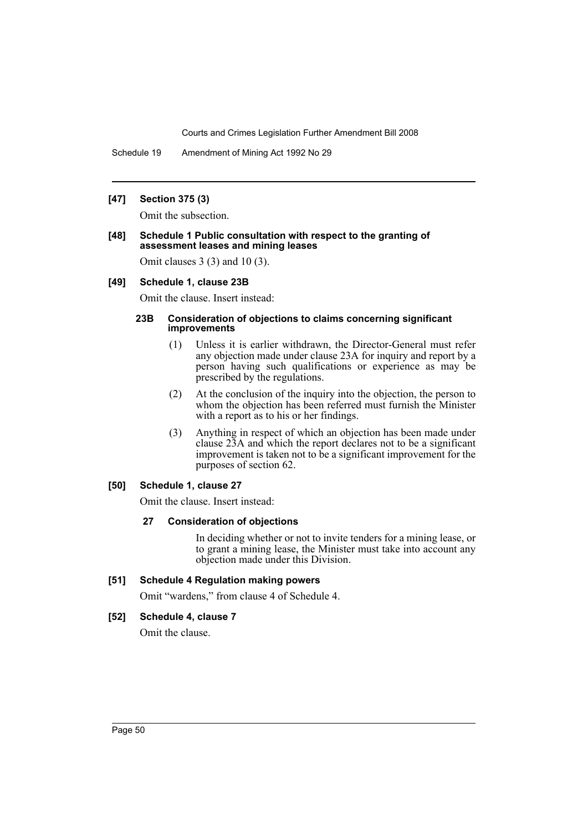Schedule 19 Amendment of Mining Act 1992 No 29

## **[47] Section 375 (3)**

Omit the subsection.

#### **[48] Schedule 1 Public consultation with respect to the granting of assessment leases and mining leases**

Omit clauses 3 (3) and 10 (3).

#### **[49] Schedule 1, clause 23B**

Omit the clause. Insert instead:

#### **23B Consideration of objections to claims concerning significant improvements**

- (1) Unless it is earlier withdrawn, the Director-General must refer any objection made under clause 23A for inquiry and report by a person having such qualifications or experience as may be prescribed by the regulations.
- (2) At the conclusion of the inquiry into the objection, the person to whom the objection has been referred must furnish the Minister with a report as to his or her findings.
- (3) Anything in respect of which an objection has been made under clause 23A and which the report declares not to be a significant improvement is taken not to be a significant improvement for the purposes of section 62.

### **[50] Schedule 1, clause 27**

Omit the clause. Insert instead:

## **27 Consideration of objections**

In deciding whether or not to invite tenders for a mining lease, or to grant a mining lease, the Minister must take into account any objection made under this Division.

## **[51] Schedule 4 Regulation making powers**

Omit "wardens," from clause 4 of Schedule 4.

#### **[52] Schedule 4, clause 7**

Omit the clause.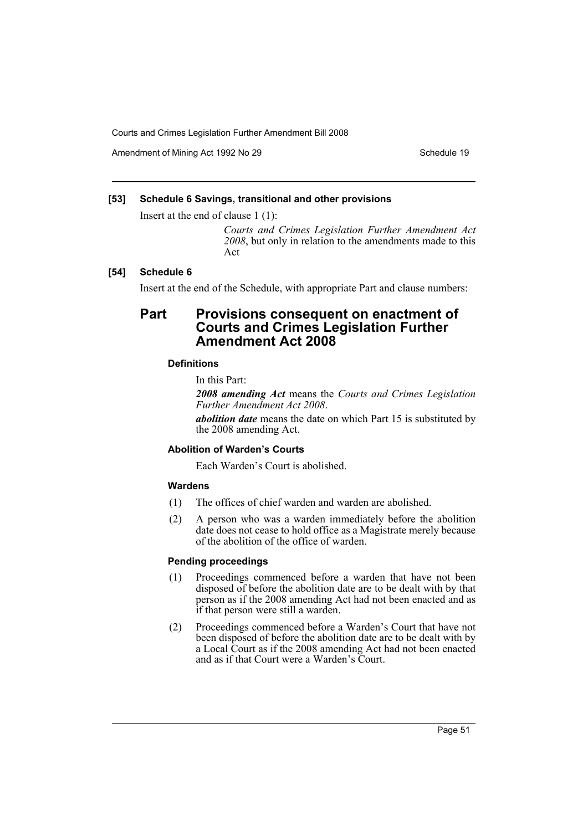Amendment of Mining Act 1992 No 29 Schedule 19

## **[53] Schedule 6 Savings, transitional and other provisions**

Insert at the end of clause 1 (1):

*Courts and Crimes Legislation Further Amendment Act 2008*, but only in relation to the amendments made to this Act

## **[54] Schedule 6**

Insert at the end of the Schedule, with appropriate Part and clause numbers:

# **Part Provisions consequent on enactment of Courts and Crimes Legislation Further Amendment Act 2008**

## **Definitions**

In this Part:

*2008 amending Act* means the *Courts and Crimes Legislation Further Amendment Act 2008*.

*abolition date* means the date on which Part 15 is substituted by the 2008 amending Act.

## **Abolition of Warden's Courts**

Each Warden's Court is abolished.

### **Wardens**

- (1) The offices of chief warden and warden are abolished.
- (2) A person who was a warden immediately before the abolition date does not cease to hold office as a Magistrate merely because of the abolition of the office of warden.

## **Pending proceedings**

- (1) Proceedings commenced before a warden that have not been disposed of before the abolition date are to be dealt with by that person as if the 2008 amending Act had not been enacted and as if that person were still a warden.
- (2) Proceedings commenced before a Warden's Court that have not been disposed of before the abolition date are to be dealt with by a Local Court as if the 2008 amending Act had not been enacted and as if that Court were a Warden's Court.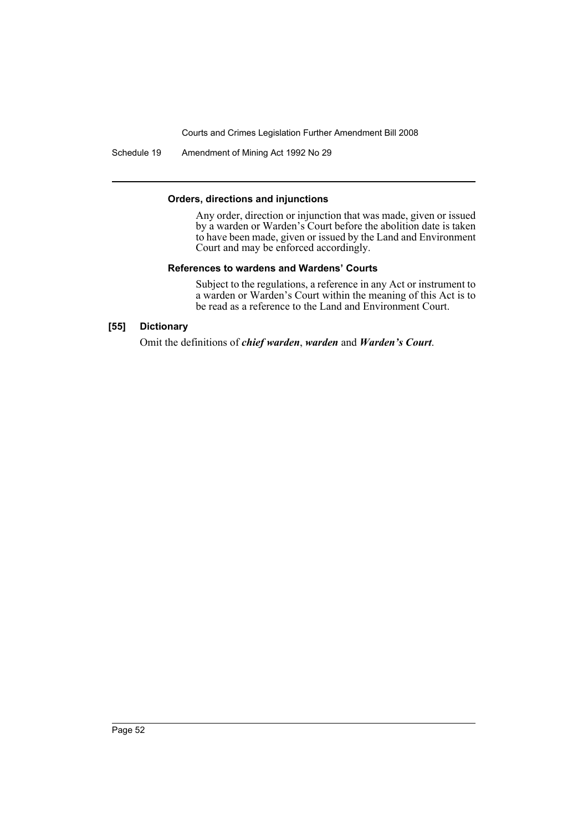Schedule 19 Amendment of Mining Act 1992 No 29

#### **Orders, directions and injunctions**

Any order, direction or injunction that was made, given or issued by a warden or Warden's Court before the abolition date is taken to have been made, given or issued by the Land and Environment Court and may be enforced accordingly.

### **References to wardens and Wardens' Courts**

Subject to the regulations, a reference in any Act or instrument to a warden or Warden's Court within the meaning of this Act is to be read as a reference to the Land and Environment Court.

## **[55] Dictionary**

Omit the definitions of *chief warden*, *warden* and *Warden's Court*.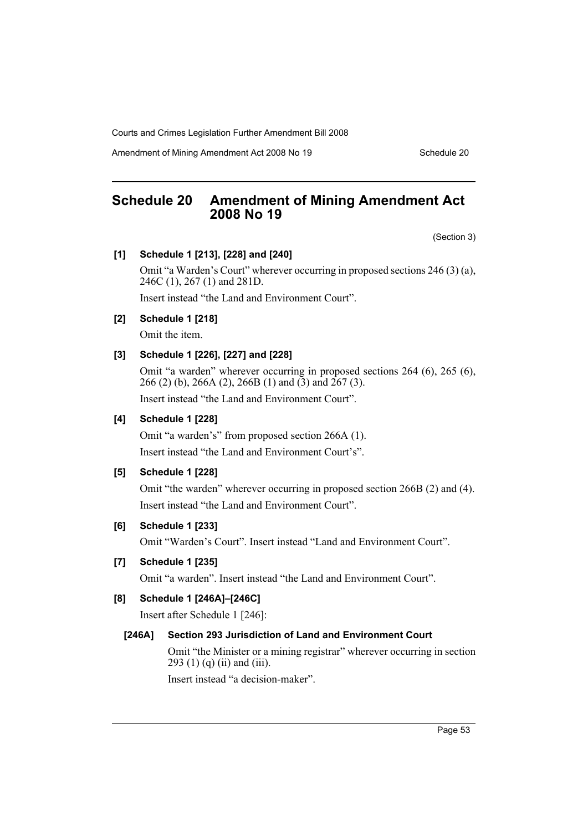Amendment of Mining Amendment Act 2008 No 19 Schedule 20

# **Schedule 20 Amendment of Mining Amendment Act 2008 No 19**

(Section 3)

## **[1] Schedule 1 [213], [228] and [240]**

Omit "a Warden's Court" wherever occurring in proposed sections 246 (3) (a), 246C (1), 267 (1) and 281D.

Insert instead "the Land and Environment Court".

## **[2] Schedule 1 [218]**

Omit the item.

## **[3] Schedule 1 [226], [227] and [228]**

Omit "a warden" wherever occurring in proposed sections 264 (6), 265 (6), 266 (2) (b), 266A (2), 266B (1) and (3) and 267 (3).

Insert instead "the Land and Environment Court".

## **[4] Schedule 1 [228]**

Omit "a warden's" from proposed section 266A (1). Insert instead "the Land and Environment Court's".

## **[5] Schedule 1 [228]**

Omit "the warden" wherever occurring in proposed section 266B (2) and (4). Insert instead "the Land and Environment Court".

## **[6] Schedule 1 [233]**

Omit "Warden's Court". Insert instead "Land and Environment Court".

## **[7] Schedule 1 [235]**

Omit "a warden". Insert instead "the Land and Environment Court".

# **[8] Schedule 1 [246A]–[246C]**

Insert after Schedule 1 [246]:

#### **[246A] Section 293 Jurisdiction of Land and Environment Court**

Omit "the Minister or a mining registrar" wherever occurring in section 293 (1) (q) (ii) and (iii).

Insert instead "a decision-maker".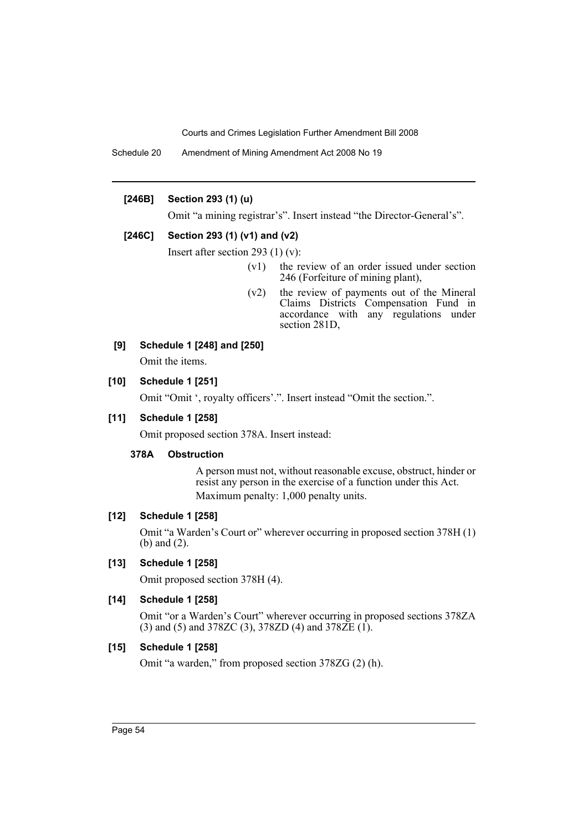Schedule 20 Amendment of Mining Amendment Act 2008 No 19

## **[246B] Section 293 (1) (u)**

Omit "a mining registrar's". Insert instead "the Director-General's".

## **[246C] Section 293 (1) (v1) and (v2)**

Insert after section 293 (1) (v):

- (v1) the review of an order issued under section 246 (Forfeiture of mining plant),
- (v2) the review of payments out of the Mineral Claims Districts Compensation Fund in accordance with any regulations under section 281D,

## **[9] Schedule 1 [248] and [250]**

Omit the items.

## **[10] Schedule 1 [251]**

Omit "Omit ', royalty officers'.". Insert instead "Omit the section.".

## **[11] Schedule 1 [258]**

Omit proposed section 378A. Insert instead:

#### **378A Obstruction**

A person must not, without reasonable excuse, obstruct, hinder or resist any person in the exercise of a function under this Act. Maximum penalty: 1,000 penalty units.

#### **[12] Schedule 1 [258]**

Omit "a Warden's Court or" wherever occurring in proposed section 378H (1) (b) and (2).

## **[13] Schedule 1 [258]**

Omit proposed section 378H (4).

# **[14] Schedule 1 [258]**

Omit "or a Warden's Court" wherever occurring in proposed sections 378ZA (3) and (5) and 378ZC (3), 378ZD (4) and 378ZE (1).

## **[15] Schedule 1 [258]**

Omit "a warden," from proposed section 378ZG (2) (h).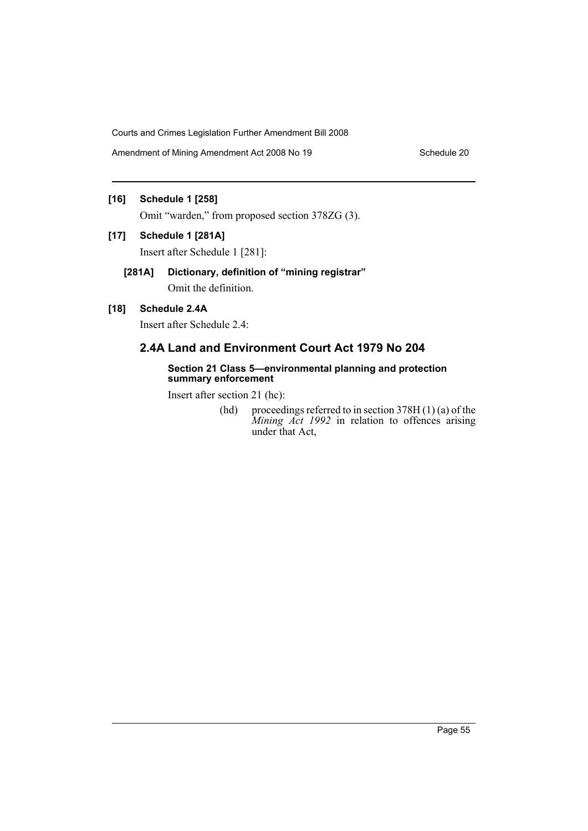Amendment of Mining Amendment Act 2008 No 19 Schedule 20

# **[16] Schedule 1 [258]**

Omit "warden," from proposed section 378ZG (3).

## **[17] Schedule 1 [281A]**

Insert after Schedule 1 [281]:

# **[281A] Dictionary, definition of "mining registrar"** Omit the definition.

# **[18] Schedule 2.4A**

Insert after Schedule 2.4:

# **2.4A Land and Environment Court Act 1979 No 204**

### **Section 21 Class 5—environmental planning and protection summary enforcement**

Insert after section 21 (hc):

(hd) proceedings referred to in section  $378H(1)(a)$  of the *Mining Act 1992* in relation to offences arising under that Act,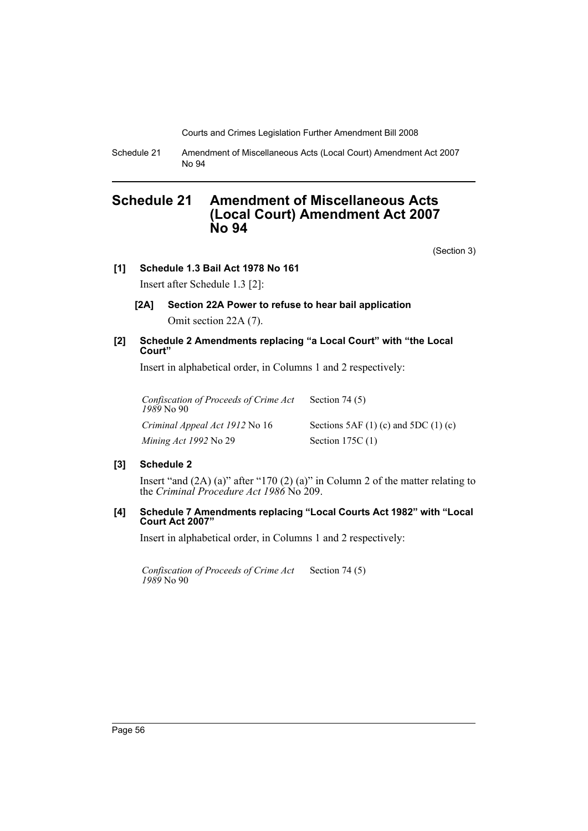Schedule 21 Amendment of Miscellaneous Acts (Local Court) Amendment Act 2007 No 94

# **Schedule 21 Amendment of Miscellaneous Acts (Local Court) Amendment Act 2007 No 94**

(Section 3)

## **[1] Schedule 1.3 Bail Act 1978 No 161**

Insert after Schedule 1.3 [2]:

**[2A] Section 22A Power to refuse to hear bail application** Omit section 22A (7).

## **[2] Schedule 2 Amendments replacing "a Local Court" with "the Local Court"**

Insert in alphabetical order, in Columns 1 and 2 respectively:

| Confiscation of Proceeds of Crime Act<br>1989 No 90 | Section 74 $(5)$                         |
|-----------------------------------------------------|------------------------------------------|
| Criminal Appeal Act 1912 No 16                      | Sections 5AF $(1)$ (c) and 5DC $(1)$ (c) |
| Mining Act 1992 No 29                               | Section 175C $(1)$                       |

## **[3] Schedule 2**

Insert "and (2A) (a)" after "170 (2) (a)" in Column 2 of the matter relating to the *Criminal Procedure Act 1986* No 209.

## **[4] Schedule 7 Amendments replacing "Local Courts Act 1982" with "Local Court Act 2007"**

Insert in alphabetical order, in Columns 1 and 2 respectively:

*Confiscation of Proceeds of Crime Act 1989* No 90 Section 74 (5)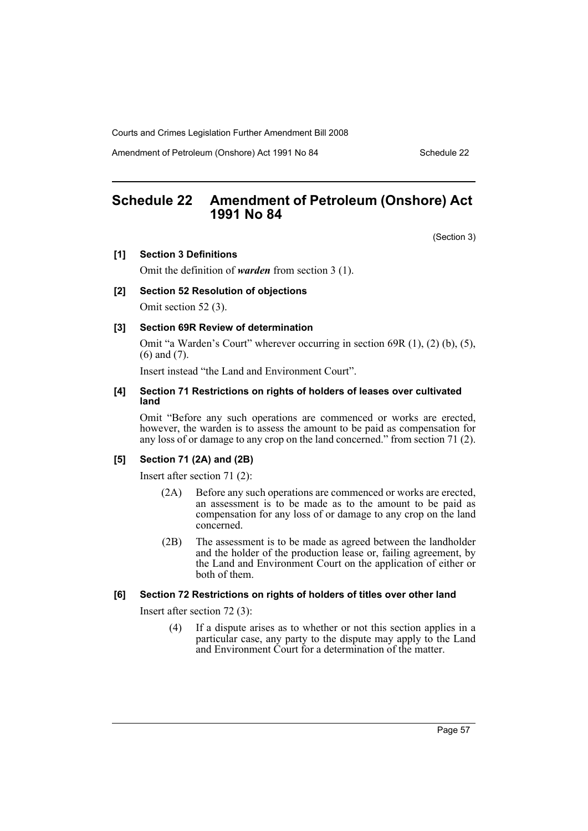Amendment of Petroleum (Onshore) Act 1991 No 84 Schedule 22

# **Schedule 22 Amendment of Petroleum (Onshore) Act 1991 No 84**

(Section 3)

## **[1] Section 3 Definitions**

Omit the definition of *warden* from section 3 (1).

#### **[2] Section 52 Resolution of objections**

Omit section 52 (3).

## **[3] Section 69R Review of determination**

Omit "a Warden's Court" wherever occurring in section 69R (1), (2) (b), (5), (6) and (7).

Insert instead "the Land and Environment Court".

#### **[4] Section 71 Restrictions on rights of holders of leases over cultivated land**

Omit "Before any such operations are commenced or works are erected, however, the warden is to assess the amount to be paid as compensation for any loss of or damage to any crop on the land concerned." from section 71 (2).

## **[5] Section 71 (2A) and (2B)**

Insert after section 71 (2):

- (2A) Before any such operations are commenced or works are erected, an assessment is to be made as to the amount to be paid as compensation for any loss of or damage to any crop on the land concerned.
- (2B) The assessment is to be made as agreed between the landholder and the holder of the production lease or, failing agreement, by the Land and Environment Court on the application of either or both of them.

### **[6] Section 72 Restrictions on rights of holders of titles over other land**

Insert after section 72 (3):

(4) If a dispute arises as to whether or not this section applies in a particular case, any party to the dispute may apply to the Land and Environment Court for a determination of the matter.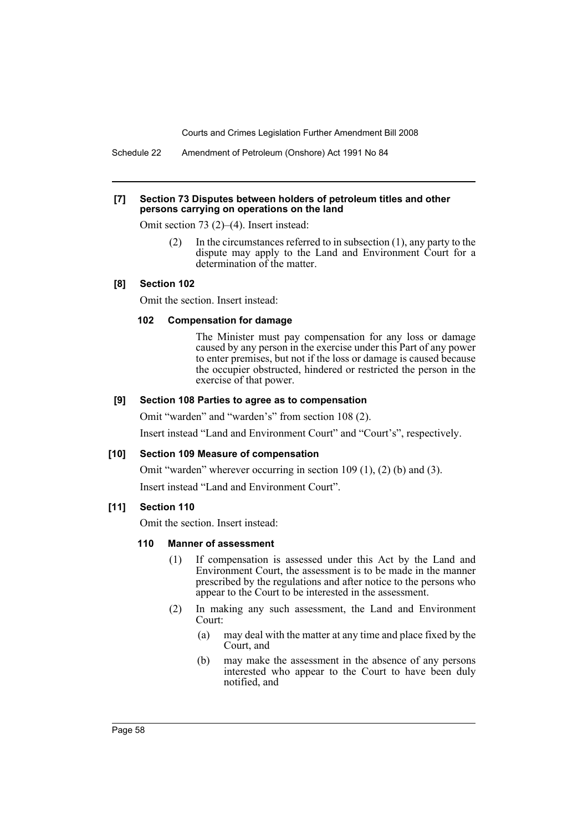Schedule 22 Amendment of Petroleum (Onshore) Act 1991 No 84

#### **[7] Section 73 Disputes between holders of petroleum titles and other persons carrying on operations on the land**

Omit section 73 (2)–(4). Insert instead:

(2) In the circumstances referred to in subsection (1), any party to the dispute may apply to the Land and Environment Court for a determination of the matter.

## **[8] Section 102**

Omit the section. Insert instead:

#### **102 Compensation for damage**

The Minister must pay compensation for any loss or damage caused by any person in the exercise under this Part of any power to enter premises, but not if the loss or damage is caused because the occupier obstructed, hindered or restricted the person in the exercise of that power.

## **[9] Section 108 Parties to agree as to compensation**

Omit "warden" and "warden's" from section 108 (2).

Insert instead "Land and Environment Court" and "Court's", respectively.

#### **[10] Section 109 Measure of compensation**

Omit "warden" wherever occurring in section 109 (1), (2) (b) and (3).

Insert instead "Land and Environment Court".

#### **[11] Section 110**

Omit the section. Insert instead:

#### **110 Manner of assessment**

- (1) If compensation is assessed under this Act by the Land and Environment Court, the assessment is to be made in the manner prescribed by the regulations and after notice to the persons who appear to the Court to be interested in the assessment.
- (2) In making any such assessment, the Land and Environment Court:
	- (a) may deal with the matter at any time and place fixed by the Court, and
	- (b) may make the assessment in the absence of any persons interested who appear to the Court to have been duly notified, and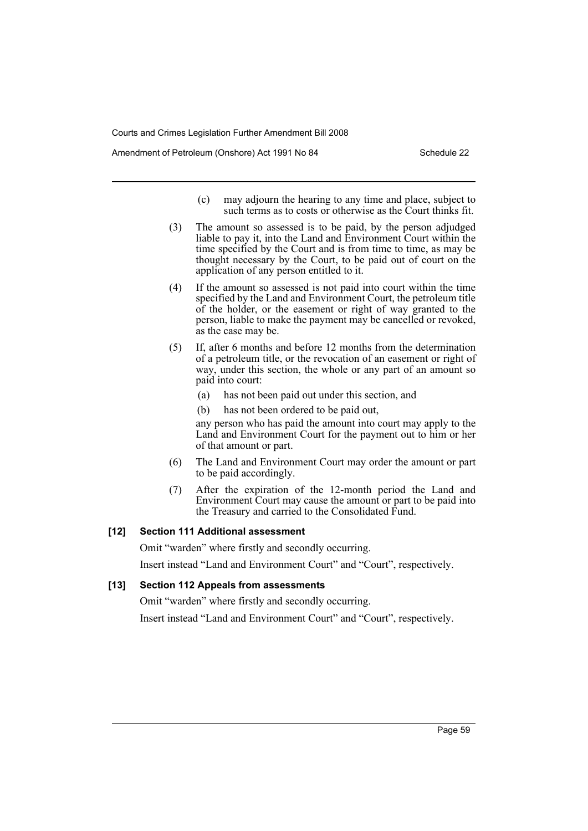Amendment of Petroleum (Onshore) Act 1991 No 84 Schedule 22

- (c) may adjourn the hearing to any time and place, subject to such terms as to costs or otherwise as the Court thinks fit.
- (3) The amount so assessed is to be paid, by the person adjudged liable to pay it, into the Land and Environment Court within the time specified by the Court and is from time to time, as may be thought necessary by the Court, to be paid out of court on the application of any person entitled to it.
- (4) If the amount so assessed is not paid into court within the time specified by the Land and Environment Court, the petroleum title of the holder, or the easement or right of way granted to the person, liable to make the payment may be cancelled or revoked, as the case may be.
- (5) If, after 6 months and before 12 months from the determination of a petroleum title, or the revocation of an easement or right of way, under this section, the whole or any part of an amount so paid into court:
	- (a) has not been paid out under this section, and
	- (b) has not been ordered to be paid out,

any person who has paid the amount into court may apply to the Land and Environment Court for the payment out to him or her of that amount or part.

- (6) The Land and Environment Court may order the amount or part to be paid accordingly.
- (7) After the expiration of the 12-month period the Land and Environment Court may cause the amount or part to be paid into the Treasury and carried to the Consolidated Fund.

#### **[12] Section 111 Additional assessment**

Omit "warden" where firstly and secondly occurring.

Insert instead "Land and Environment Court" and "Court", respectively.

#### **[13] Section 112 Appeals from assessments**

Omit "warden" where firstly and secondly occurring.

Insert instead "Land and Environment Court" and "Court", respectively.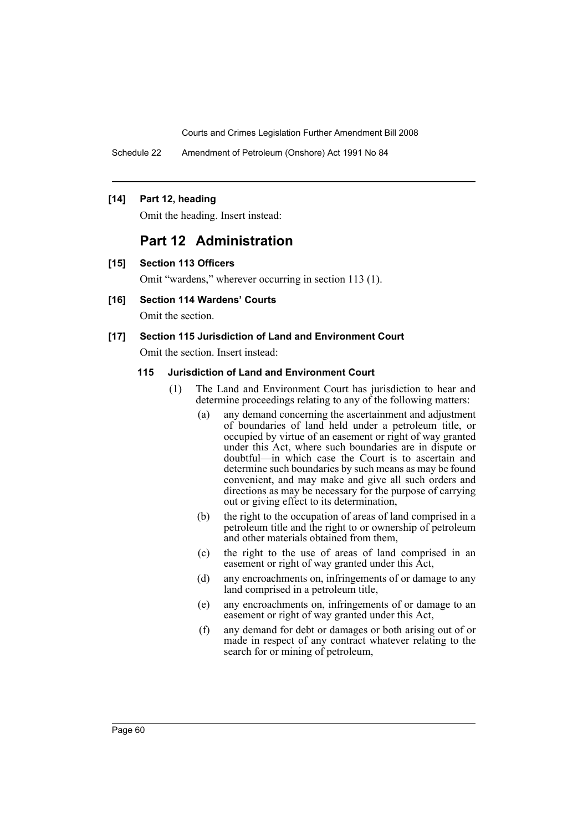Schedule 22 Amendment of Petroleum (Onshore) Act 1991 No 84

### **[14] Part 12, heading**

Omit the heading. Insert instead:

# **Part 12 Administration**

**[15] Section 113 Officers**

Omit "wardens," wherever occurring in section 113 (1).

# **[16] Section 114 Wardens' Courts**

Omit the section.

## **[17] Section 115 Jurisdiction of Land and Environment Court**

Omit the section. Insert instead:

## **115 Jurisdiction of Land and Environment Court**

- (1) The Land and Environment Court has jurisdiction to hear and determine proceedings relating to any of the following matters:
	- (a) any demand concerning the ascertainment and adjustment of boundaries of land held under a petroleum title, or occupied by virtue of an easement or right of way granted under this Act, where such boundaries are in dispute or doubtful—in which case the Court is to ascertain and determine such boundaries by such means as may be found convenient, and may make and give all such orders and directions as may be necessary for the purpose of carrying out or giving effect to its determination,
	- (b) the right to the occupation of areas of land comprised in a petroleum title and the right to or ownership of petroleum and other materials obtained from them,
	- (c) the right to the use of areas of land comprised in an easement or right of way granted under this Act,
	- (d) any encroachments on, infringements of or damage to any land comprised in a petroleum title,
	- (e) any encroachments on, infringements of or damage to an easement or right of way granted under this Act,
	- (f) any demand for debt or damages or both arising out of or made in respect of any contract whatever relating to the search for or mining of petroleum,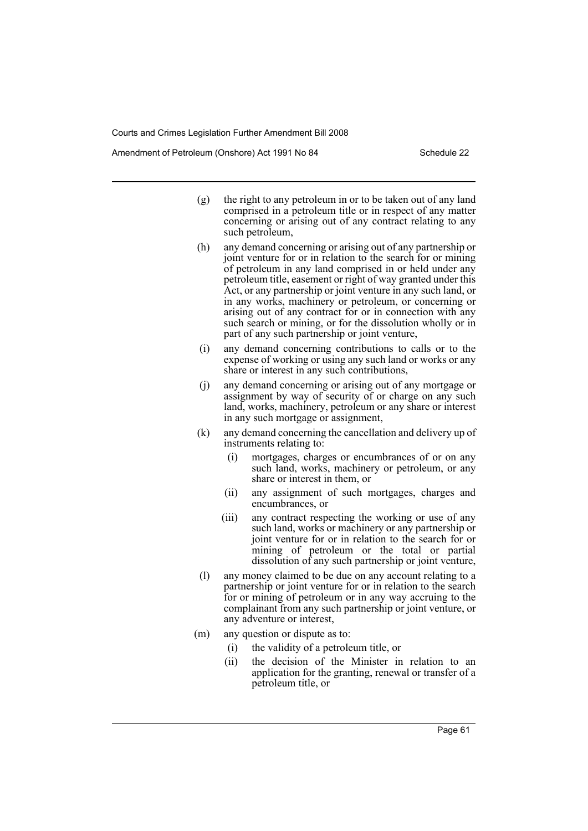Amendment of Petroleum (Onshore) Act 1991 No 84 Schedule 22

- (g) the right to any petroleum in or to be taken out of any land comprised in a petroleum title or in respect of any matter concerning or arising out of any contract relating to any such petroleum,
- (h) any demand concerning or arising out of any partnership or joint venture for or in relation to the search for or mining of petroleum in any land comprised in or held under any petroleum title, easement or right of way granted under this Act, or any partnership or joint venture in any such land, or in any works, machinery or petroleum, or concerning or arising out of any contract for or in connection with any such search or mining, or for the dissolution wholly or in part of any such partnership or joint venture,
- (i) any demand concerning contributions to calls or to the expense of working or using any such land or works or any share or interest in any such contributions,
- (j) any demand concerning or arising out of any mortgage or assignment by way of security of or charge on any such land, works, machinery, petroleum or any share or interest in any such mortgage or assignment,
- (k) any demand concerning the cancellation and delivery up of instruments relating to:
	- (i) mortgages, charges or encumbrances of or on any such land, works, machinery or petroleum, or any share or interest in them, or
	- (ii) any assignment of such mortgages, charges and encumbrances, or
	- (iii) any contract respecting the working or use of any such land, works or machinery or any partnership or joint venture for or in relation to the search for or mining of petroleum or the total or partial dissolution of any such partnership or joint venture,
- (l) any money claimed to be due on any account relating to a partnership or joint venture for or in relation to the search for or mining of petroleum or in any way accruing to the complainant from any such partnership or joint venture, or any adventure or interest,
- (m) any question or dispute as to:
	- (i) the validity of a petroleum title, or
	- (ii) the decision of the Minister in relation to an application for the granting, renewal or transfer of a petroleum title, or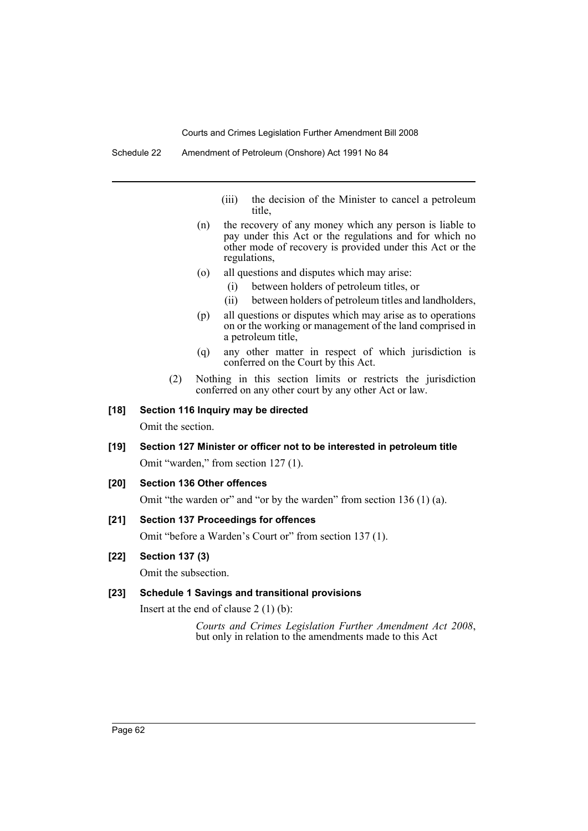- (iii) the decision of the Minister to cancel a petroleum title,
- (n) the recovery of any money which any person is liable to pay under this Act or the regulations and for which no other mode of recovery is provided under this Act or the regulations,
- (o) all questions and disputes which may arise:
	- (i) between holders of petroleum titles, or
	- (ii) between holders of petroleum titles and landholders,
- (p) all questions or disputes which may arise as to operations on or the working or management of the land comprised in a petroleum title,
- (q) any other matter in respect of which jurisdiction is conferred on the Court by this Act.
- (2) Nothing in this section limits or restricts the jurisdiction conferred on any other court by any other Act or law.

## **[18] Section 116 Inquiry may be directed**

Omit the section.

- **[19] Section 127 Minister or officer not to be interested in petroleum title** Omit "warden," from section 127 (1).
- **[20] Section 136 Other offences**

Omit "the warden or" and "or by the warden" from section 136 (1) (a).

### **[21] Section 137 Proceedings for offences**

Omit "before a Warden's Court or" from section 137 (1).

## **[22] Section 137 (3)**

Omit the subsection.

## **[23] Schedule 1 Savings and transitional provisions**

Insert at the end of clause 2 (1) (b):

*Courts and Crimes Legislation Further Amendment Act 2008*, but only in relation to the amendments made to this Act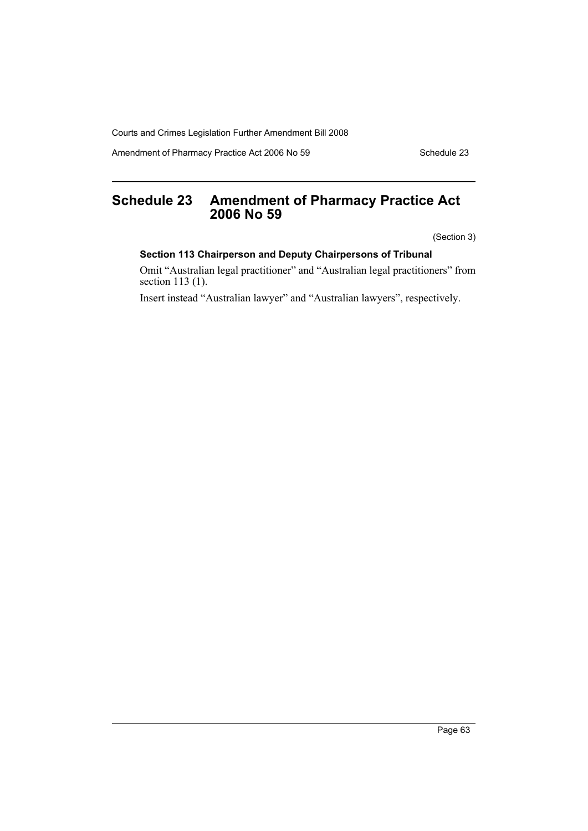Amendment of Pharmacy Practice Act 2006 No 59 Schedule 23

# **Schedule 23 Amendment of Pharmacy Practice Act 2006 No 59**

(Section 3)

# **Section 113 Chairperson and Deputy Chairpersons of Tribunal**

Omit "Australian legal practitioner" and "Australian legal practitioners" from section 113 (1).

Insert instead "Australian lawyer" and "Australian lawyers", respectively.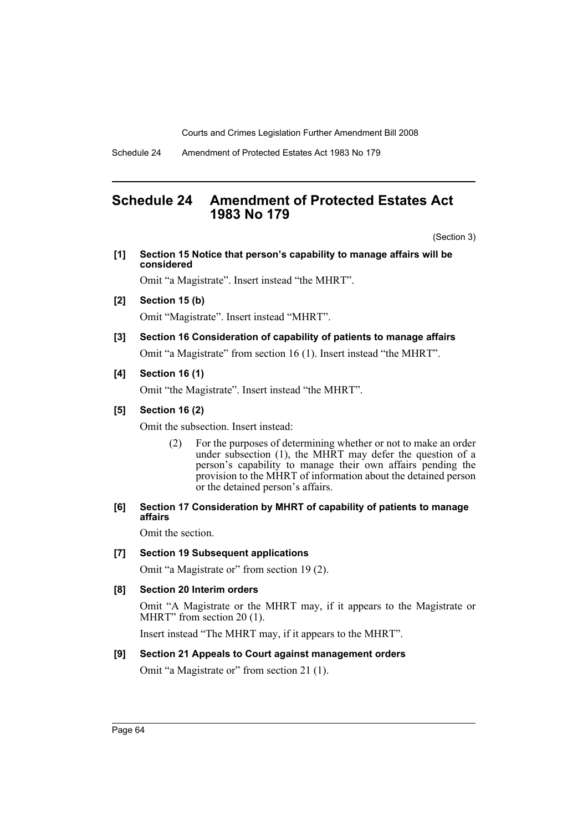# **Schedule 24 Amendment of Protected Estates Act 1983 No 179**

(Section 3)

**[1] Section 15 Notice that person's capability to manage affairs will be considered**

Omit "a Magistrate". Insert instead "the MHRT".

- **[2] Section 15 (b)** Omit "Magistrate". Insert instead "MHRT".
- **[3] Section 16 Consideration of capability of patients to manage affairs** Omit "a Magistrate" from section 16 (1). Insert instead "the MHRT".

## **[4] Section 16 (1)**

Omit "the Magistrate". Insert instead "the MHRT".

## **[5] Section 16 (2)**

Omit the subsection. Insert instead:

(2) For the purposes of determining whether or not to make an order under subsection (1), the MHRT may defer the question of a person's capability to manage their own affairs pending the provision to the MHRT of information about the detained person or the detained person's affairs.

## **[6] Section 17 Consideration by MHRT of capability of patients to manage affairs**

Omit the section.

## **[7] Section 19 Subsequent applications**

Omit "a Magistrate or" from section 19 (2).

## **[8] Section 20 Interim orders**

Omit "A Magistrate or the MHRT may, if it appears to the Magistrate or MHRT" from section 20 (1).

Insert instead "The MHRT may, if it appears to the MHRT".

## **[9] Section 21 Appeals to Court against management orders**

Omit "a Magistrate or" from section 21 (1).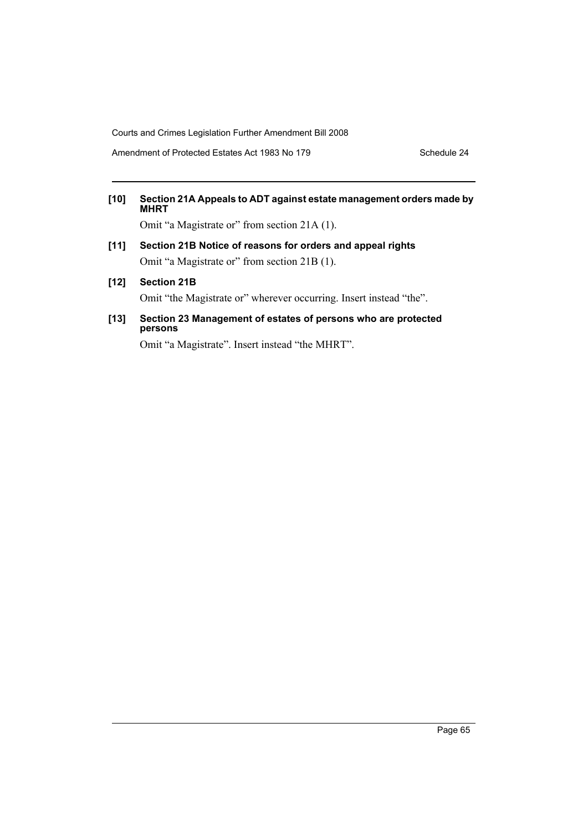Amendment of Protected Estates Act 1983 No 179 Schedule 24

# **[10] Section 21A Appeals to ADT against estate management orders made by MHRT**

Omit "a Magistrate or" from section 21A (1).

- **[11] Section 21B Notice of reasons for orders and appeal rights** Omit "a Magistrate or" from section 21B (1).
- **[12] Section 21B**

Omit "the Magistrate or" wherever occurring. Insert instead "the".

**[13] Section 23 Management of estates of persons who are protected persons**

Omit "a Magistrate". Insert instead "the MHRT".

Page 65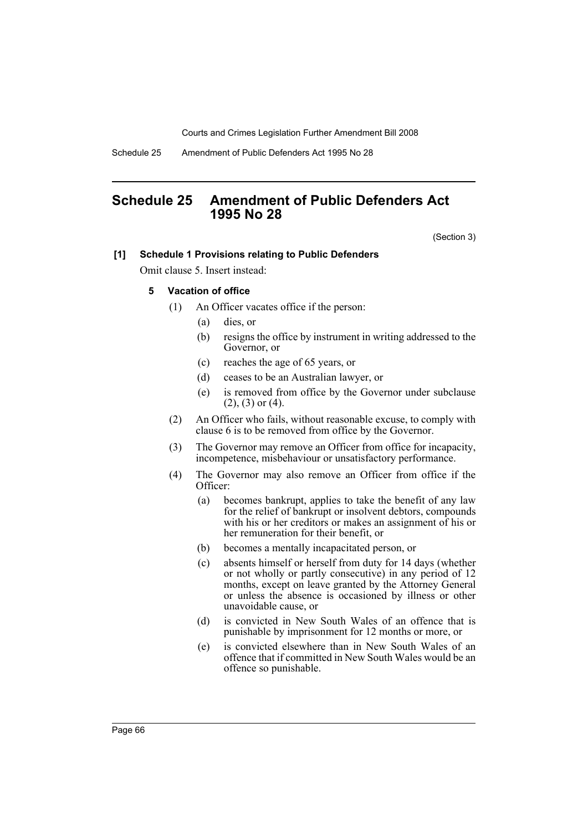Schedule 25 Amendment of Public Defenders Act 1995 No 28

# **Schedule 25 Amendment of Public Defenders Act 1995 No 28**

(Section 3)

#### **[1] Schedule 1 Provisions relating to Public Defenders**

Omit clause 5. Insert instead:

## **5 Vacation of office**

- (1) An Officer vacates office if the person:
	- (a) dies, or
	- (b) resigns the office by instrument in writing addressed to the Governor, or
	- (c) reaches the age of 65 years, or
	- (d) ceases to be an Australian lawyer, or
	- (e) is removed from office by the Governor under subclause  $(2)$ ,  $(3)$  or  $(4)$ .
- (2) An Officer who fails, without reasonable excuse, to comply with clause 6 is to be removed from office by the Governor.
- (3) The Governor may remove an Officer from office for incapacity, incompetence, misbehaviour or unsatisfactory performance.
- (4) The Governor may also remove an Officer from office if the Officer:
	- (a) becomes bankrupt, applies to take the benefit of any law for the relief of bankrupt or insolvent debtors, compounds with his or her creditors or makes an assignment of his or her remuneration for their benefit, or
	- (b) becomes a mentally incapacitated person, or
	- (c) absents himself or herself from duty for 14 days (whether or not wholly or partly consecutive) in any period of 12 months, except on leave granted by the Attorney General or unless the absence is occasioned by illness or other unavoidable cause, or
	- (d) is convicted in New South Wales of an offence that is punishable by imprisonment for 12 months or more, or
	- (e) is convicted elsewhere than in New South Wales of an offence that if committed in New South Wales would be an offence so punishable.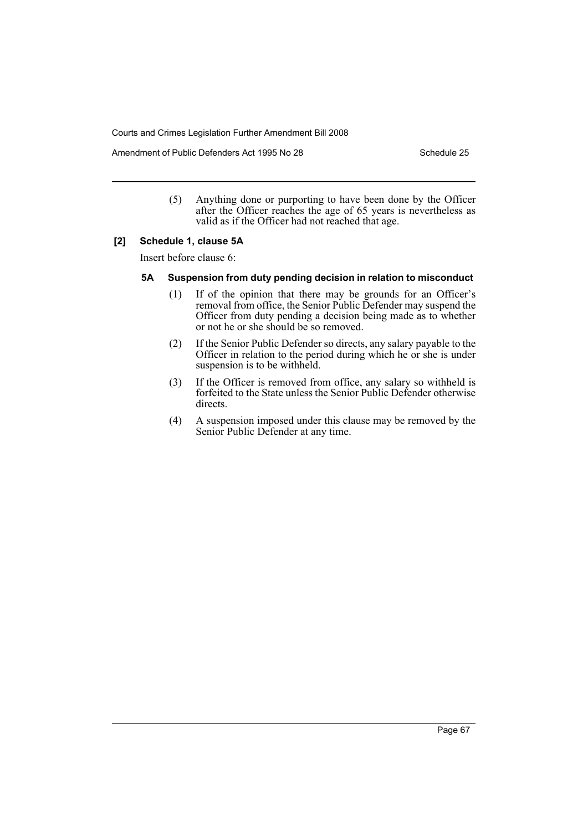Amendment of Public Defenders Act 1995 No 28 Schedule 25

(5) Anything done or purporting to have been done by the Officer after the Officer reaches the age of 65 years is nevertheless as valid as if the Officer had not reached that age.

#### **[2] Schedule 1, clause 5A**

Insert before clause 6:

## **5A Suspension from duty pending decision in relation to misconduct**

- (1) If of the opinion that there may be grounds for an Officer's removal from office, the Senior Public Defender may suspend the Officer from duty pending a decision being made as to whether or not he or she should be so removed.
- (2) If the Senior Public Defender so directs, any salary payable to the Officer in relation to the period during which he or she is under suspension is to be withheld.
- (3) If the Officer is removed from office, any salary so withheld is forfeited to the State unless the Senior Public Defender otherwise directs.
- (4) A suspension imposed under this clause may be removed by the Senior Public Defender at any time.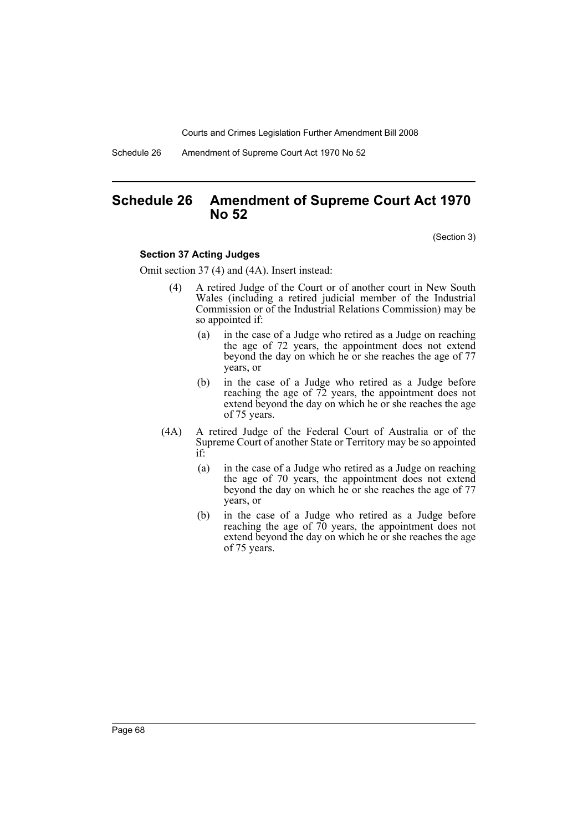Schedule 26 Amendment of Supreme Court Act 1970 No 52

# **Schedule 26 Amendment of Supreme Court Act 1970 No 52**

(Section 3)

#### **Section 37 Acting Judges**

Omit section 37 (4) and (4A). Insert instead:

- (4) A retired Judge of the Court or of another court in New South Wales (including a retired judicial member of the Industrial Commission or of the Industrial Relations Commission) may be so appointed if:
	- (a) in the case of a Judge who retired as a Judge on reaching the age of 72 years, the appointment does not extend beyond the day on which he or she reaches the age of 77 years, or
	- (b) in the case of a Judge who retired as a Judge before reaching the age of 72 years, the appointment does not extend beyond the day on which he or she reaches the age of 75 years.
- (4A) A retired Judge of the Federal Court of Australia or of the Supreme Court of another State or Territory may be so appointed if:
	- (a) in the case of a Judge who retired as a Judge on reaching the age of 70 years, the appointment does not extend beyond the day on which he or she reaches the age of 77 years, or
	- (b) in the case of a Judge who retired as a Judge before reaching the age of 70 years, the appointment does not extend beyond the day on which he or she reaches the age of 75 years.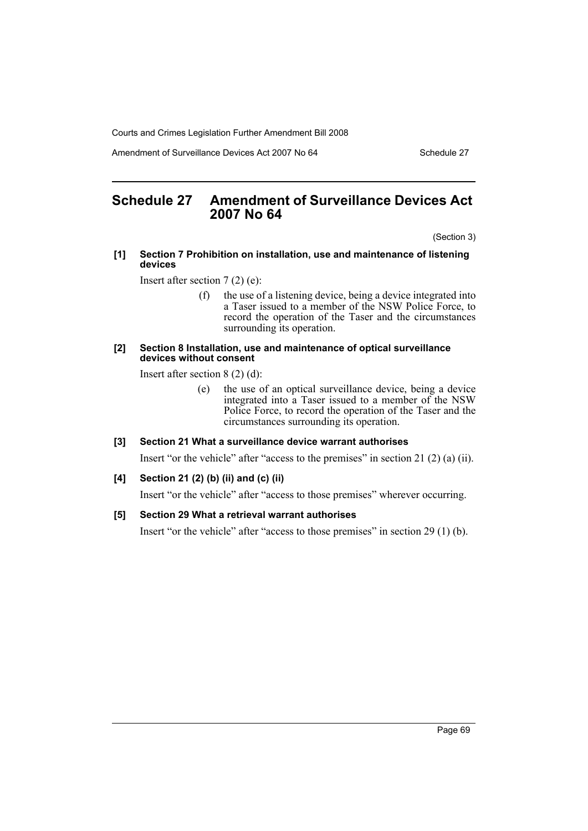Amendment of Surveillance Devices Act 2007 No 64 Schedule 27

# **Schedule 27 Amendment of Surveillance Devices Act 2007 No 64**

(Section 3)

#### **[1] Section 7 Prohibition on installation, use and maintenance of listening devices**

Insert after section 7 (2) (e):

(f) the use of a listening device, being a device integrated into a Taser issued to a member of the NSW Police Force, to record the operation of the Taser and the circumstances surrounding its operation.

#### **[2] Section 8 Installation, use and maintenance of optical surveillance devices without consent**

Insert after section 8 (2) (d):

(e) the use of an optical surveillance device, being a device integrated into a Taser issued to a member of the NSW Police Force, to record the operation of the Taser and the circumstances surrounding its operation.

#### **[3] Section 21 What a surveillance device warrant authorises**

Insert "or the vehicle" after "access to the premises" in section 21 (2) (a) (ii).

#### **[4] Section 21 (2) (b) (ii) and (c) (ii)**

Insert "or the vehicle" after "access to those premises" wherever occurring.

## **[5] Section 29 What a retrieval warrant authorises**

Insert "or the vehicle" after "access to those premises" in section 29 (1) (b).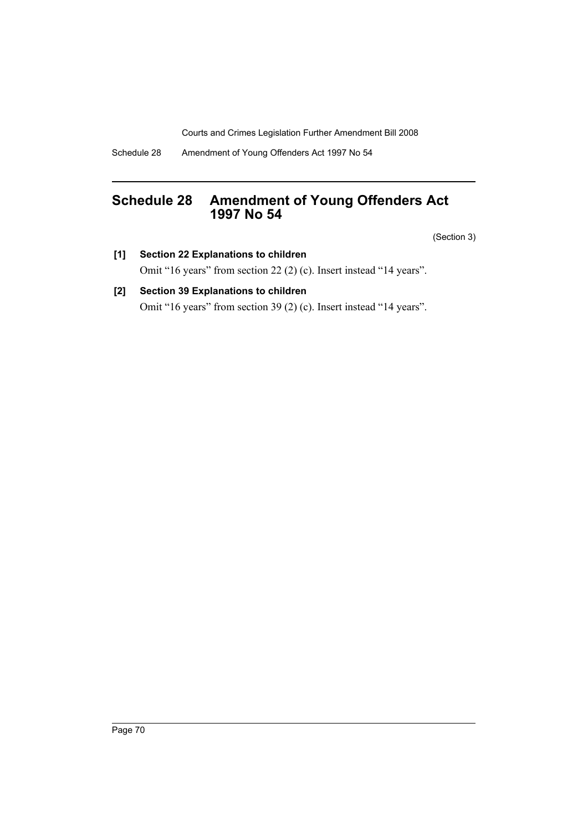Schedule 28 Amendment of Young Offenders Act 1997 No 54

# **Schedule 28 Amendment of Young Offenders Act 1997 No 54**

(Section 3)

- **[1] Section 22 Explanations to children** Omit "16 years" from section 22 (2) (c). Insert instead "14 years".
- **[2] Section 39 Explanations to children** Omit "16 years" from section 39 (2) (c). Insert instead "14 years".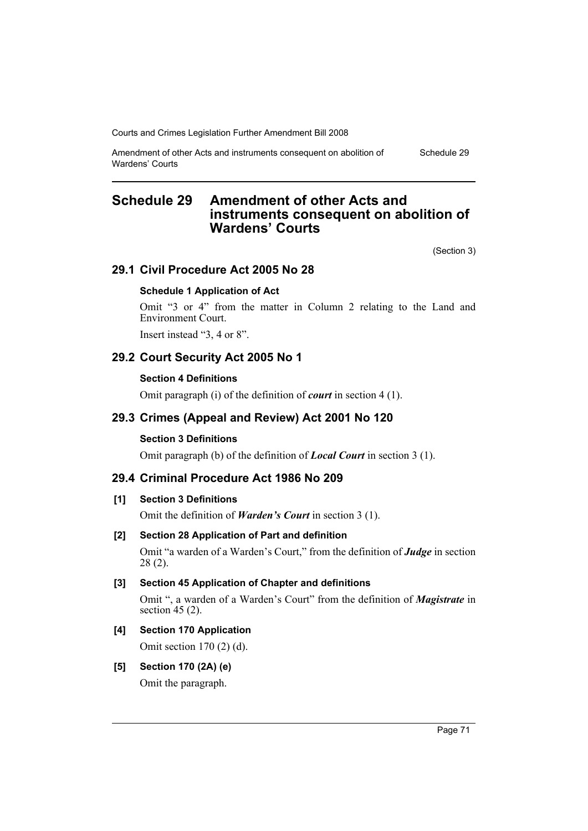Courts and Crimes Legislation Further Amendment Bill 2008

Amendment of other Acts and instruments consequent on abolition of Wardens' Courts

# **Schedule 29 Amendment of other Acts and instruments consequent on abolition of Wardens' Courts**

(Section 3)

Schedule 29

# **29.1 Civil Procedure Act 2005 No 28**

## **Schedule 1 Application of Act**

Omit "3 or 4" from the matter in Column 2 relating to the Land and Environment Court.

Insert instead "3, 4 or 8".

# **29.2 Court Security Act 2005 No 1**

## **Section 4 Definitions**

Omit paragraph (i) of the definition of *court* in section 4 (1).

# **29.3 Crimes (Appeal and Review) Act 2001 No 120**

#### **Section 3 Definitions**

Omit paragraph (b) of the definition of *Local Court* in section 3 (1).

# **29.4 Criminal Procedure Act 1986 No 209**

# **[1] Section 3 Definitions**

Omit the definition of *Warden's Court* in section 3 (1).

## **[2] Section 28 Application of Part and definition**

Omit "a warden of a Warden's Court," from the definition of *Judge* in section 28 (2).

#### **[3] Section 45 Application of Chapter and definitions**

Omit ", a warden of a Warden's Court" from the definition of *Magistrate* in section 45 (2).

# **[4] Section 170 Application**

Omit section 170 (2) (d).

# **[5] Section 170 (2A) (e)**

Omit the paragraph.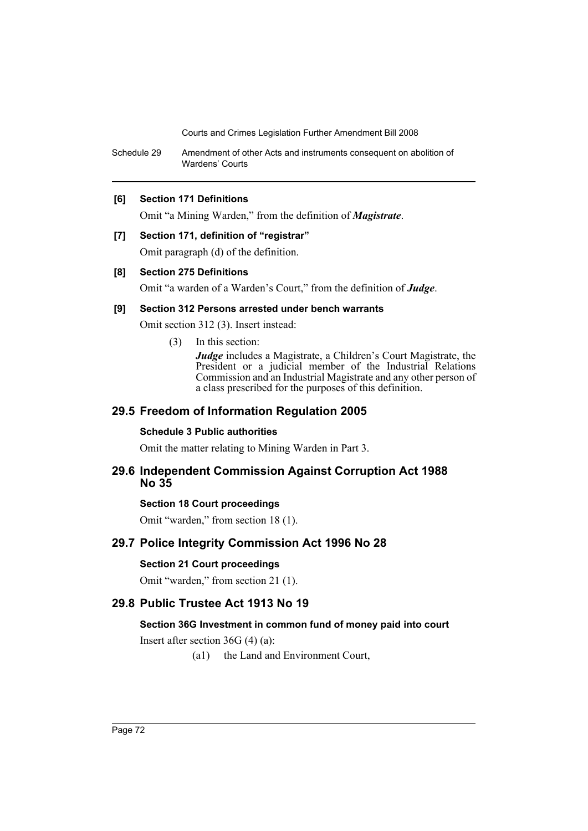Courts and Crimes Legislation Further Amendment Bill 2008

Schedule 29 Amendment of other Acts and instruments consequent on abolition of Wardens' Courts

## **[6] Section 171 Definitions**

Omit "a Mining Warden," from the definition of *Magistrate*.

#### **[7] Section 171, definition of "registrar"**

Omit paragraph (d) of the definition.

#### **[8] Section 275 Definitions**

Omit "a warden of a Warden's Court," from the definition of *Judge*.

#### **[9] Section 312 Persons arrested under bench warrants**

Omit section 312 (3). Insert instead:

(3) In this section:

*Judge* includes a Magistrate, a Children's Court Magistrate, the President or a judicial member of the Industrial Relations Commission and an Industrial Magistrate and any other person of a class prescribed for the purposes of this definition.

# **29.5 Freedom of Information Regulation 2005**

#### **Schedule 3 Public authorities**

Omit the matter relating to Mining Warden in Part 3.

## **29.6 Independent Commission Against Corruption Act 1988 No 35**

#### **Section 18 Court proceedings**

Omit "warden," from section 18 (1).

# **29.7 Police Integrity Commission Act 1996 No 28**

#### **Section 21 Court proceedings**

Omit "warden," from section 21 (1).

# **29.8 Public Trustee Act 1913 No 19**

# **Section 36G Investment in common fund of money paid into court**

Insert after section 36G (4) (a):

(a1) the Land and Environment Court,